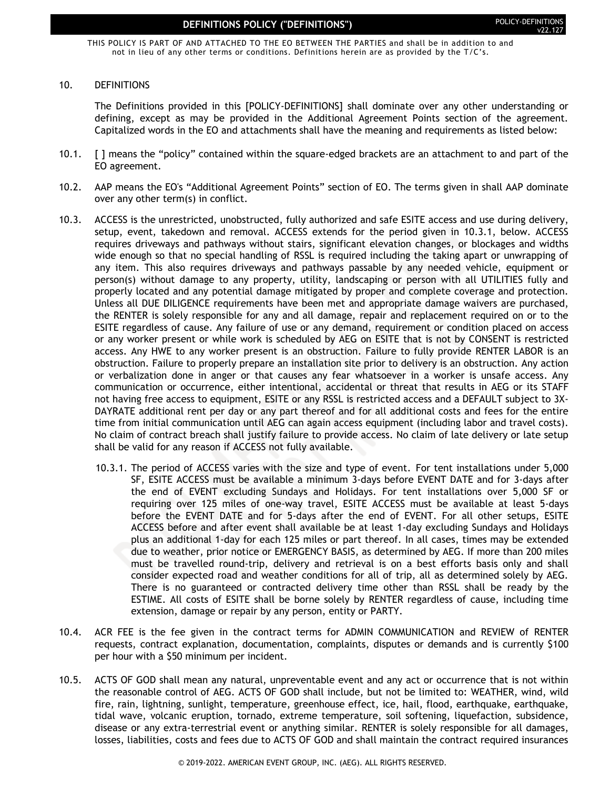THIS POLICY IS PART OF AND ATTACHED TO THE EO BETWEEN THE PARTIES and shall be in addition to and not in lieu of any other terms or conditions. Definitions herein are as provided by the T/C's.

#### 10. DEFINITIONS

The Definitions provided in this [POLICY-DEFINITIONS] shall dominate over any other understanding or defining, except as may be provided in the Additional Agreement Points section of the agreement. Capitalized words in the EO and attachments shall have the meaning and requirements as listed below:

- 10.1. [ ] means the "policy" contained within the square-edged brackets are an attachment to and part of the EO agreement.
- 10.2. AAP means the EO's "Additional Agreement Points" section of EO. The terms given in shall AAP dominate over any other term(s) in conflict.
- 10.3. ACCESS is the unrestricted, unobstructed, fully authorized and safe ESITE access and use during delivery, setup, event, takedown and removal. ACCESS extends for the period given in 10.3.1, below. ACCESS requires driveways and pathways without stairs, significant elevation changes, or blockages and widths wide enough so that no special handling of RSSL is required including the taking apart or unwrapping of any item. This also requires driveways and pathways passable by any needed vehicle, equipment or person(s) without damage to any property, utility, landscaping or person with all UTILITIES fully and properly located and any potential damage mitigated by proper and complete coverage and protection. Unless all DUE DILIGENCE requirements have been met and appropriate damage waivers are purchased, the RENTER is solely responsible for any and all damage, repair and replacement required on or to the ESITE regardless of cause. Any failure of use or any demand, requirement or condition placed on access or any worker present or while work is scheduled by AEG on ESITE that is not by CONSENT is restricted access. Any HWE to any worker present is an obstruction. Failure to fully provide RENTER LABOR is an obstruction. Failure to properly prepare an installation site prior to delivery is an obstruction. Any action or verbalization done in anger or that causes any fear whatsoever in a worker is unsafe access. Any communication or occurrence, either intentional, accidental or threat that results in AEG or its STAFF not having free access to equipment, ESITE or any RSSL is restricted access and a DEFAULT subject to 3X-DAYRATE additional rent per day or any part thereof and for all additional costs and fees for the entire time from initial communication until AEG can again access equipment (including labor and travel costs). No claim of contract breach shall justify failure to provide access. No claim of late delivery or late setup shall be valid for any reason if ACCESS not fully available.
	- 10.3.1. The period of ACCESS varies with the size and type of event. For tent installations under 5,000 SF, ESITE ACCESS must be available a minimum 3-days before EVENT DATE and for 3-days after the end of EVENT excluding Sundays and Holidays. For tent installations over 5,000 SF or requiring over 125 miles of one-way travel, ESITE ACCESS must be available at least 5-days before the EVENT DATE and for 5-days after the end of EVENT. For all other setups, ESITE ACCESS before and after event shall available be at least 1-day excluding Sundays and Holidays plus an additional 1-day for each 125 miles or part thereof. In all cases, times may be extended due to weather, prior notice or EMERGENCY BASIS, as determined by AEG. If more than 200 miles must be travelled round-trip, delivery and retrieval is on a best efforts basis only and shall consider expected road and weather conditions for all of trip, all as determined solely by AEG. There is no guaranteed or contracted delivery time other than RSSL shall be ready by the ESTIME. All costs of ESITE shall be borne solely by RENTER regardless of cause, including time extension, damage or repair by any person, entity or PARTY.
- 10.4. ACR FEE is the fee given in the contract terms for ADMIN COMMUNICATION and REVIEW of RENTER requests, contract explanation, documentation, complaints, disputes or demands and is currently \$100 per hour with a \$50 minimum per incident.
- 10.5. ACTS OF GOD shall mean any natural, unpreventable event and any act or occurrence that is not within the reasonable control of AEG. ACTS OF GOD shall include, but not be limited to: WEATHER, wind, wild fire, rain, lightning, sunlight, temperature, greenhouse effect, ice, hail, flood, earthquake, earthquake, tidal wave, volcanic eruption, tornado, extreme temperature, soil softening, liquefaction, subsidence, disease or any extra-terrestrial event or anything similar. RENTER is solely responsible for all damages, losses, liabilities, costs and fees due to ACTS OF GOD and shall maintain the contract required insurances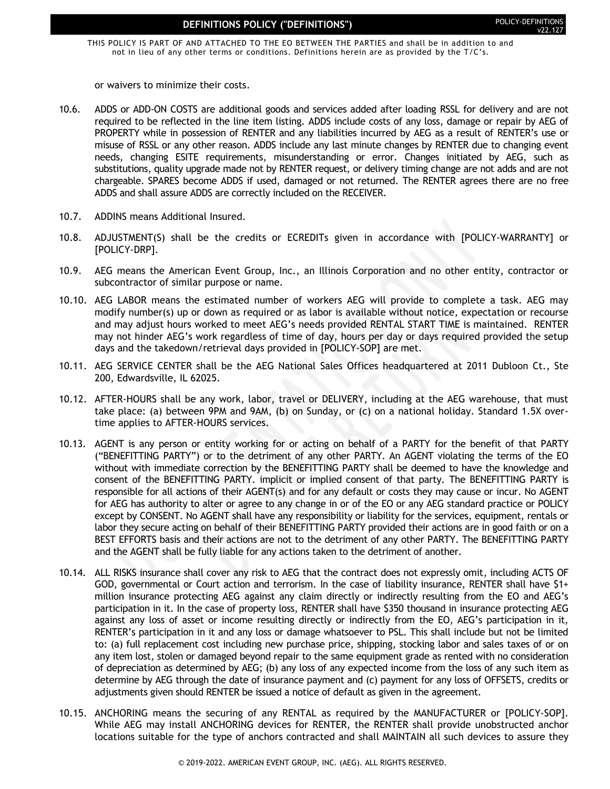THIS POLICY IS PART OF AND ATTACHED TO THE EO BETWEEN THE PARTIES and shall be in addition to and not in lieu of any other terms or conditions. Definitions herein are as provided by the T/C's.

or waivers to minimize their costs.

- 10.6. ADDS or ADD-ON COSTS are additional goods and services added after loading RSSL for delivery and are not required to be reflected in the line item listing. ADDS include costs of any loss, damage or repair by AEG of PROPERTY while in possession of RENTER and any liabilities incurred by AEG as a result of RENTER's use or misuse of RSSL or any other reason. ADDS include any last minute changes by RENTER due to changing event needs, changing ESITE requirements, misunderstanding or error. Changes initiated by AEG, such as substitutions, quality upgrade made not by RENTER request, or delivery timing change are not adds and are not chargeable. SPARES become ADDS if used, damaged or not returned. The RENTER agrees there are no free ADDS and shall assure ADDS are correctly included on the RECEIVER.
- 10.7. ADDINS means Additional Insured.
- 10.8. ADJUSTMENT(S) shall be the credits or ECREDITs given in accordance with [POLICY-WARRANTY] or [POLICY-DRP].
- 10.9. AEG means the American Event Group, Inc., an Illinois Corporation and no other entity, contractor or subcontractor of similar purpose or name.
- 10.10. AEG LABOR means the estimated number of workers AEG will provide to complete a task. AEG may modify number(s) up or down as required or as labor is available without notice, expectation or recourse and may adjust hours worked to meet AEG's needs provided RENTAL START TIME is maintained. RENTER may not hinder AEG's work regardless of time of day, hours per day or days required provided the setup days and the takedown/retrieval days provided in [POLICY-SOP] are met.
- 10.11. AEG SERVICE CENTER shall be the AEG National Sales Offices headquartered at 2011 Dubloon Ct., Ste 200, Edwardsville, IL 62025.
- 10.12. AFTER-HOURS shall be any work, labor, travel or DELIVERY, including at the AEG warehouse, that must take place: (a) between 9PM and 9AM, (b) on Sunday, or (c) on a national holiday. Standard 1.5X overtime applies to AFTER-HOURS services.
- 10.13. AGENT is any person or entity working for or acting on behalf of a PARTY for the benefit of that PARTY ("BENEFITTING PARTY") or to the detriment of any other PARTY. An AGENT violating the terms of the EO without with immediate correction by the BENEFITTING PARTY shall be deemed to have the knowledge and consent of the BENEFITTING PARTY. implicit or implied consent of that party. The BENEFITTING PARTY is responsible for all actions of their AGENT(s) and for any default or costs they may cause or incur. No AGENT for AEG has authority to alter or agree to any change in or of the EO or any AEG standard practice or POLICY except by CONSENT. No AGENT shall have any responsibility or liability for the services, equipment, rentals or labor they secure acting on behalf of their BENEFITTING PARTY provided their actions are in good faith or on a BEST EFFORTS basis and their actions are not to the detriment of any other PARTY. The BENEFITTING PARTY and the AGENT shall be fully liable for any actions taken to the detriment of another.
- 10.14. ALL RISKS insurance shall cover any risk to AEG that the contract does not expressly omit, including ACTS OF GOD, governmental or Court action and terrorism. In the case of liability insurance, RENTER shall have \$1+ million insurance protecting AEG against any claim directly or indirectly resulting from the EO and AEG's participation in it. In the case of property loss, RENTER shall have \$350 thousand in insurance protecting AEG against any loss of asset or income resulting directly or indirectly from the EO, AEG's participation in it, RENTER's participation in it and any loss or damage whatsoever to PSL. This shall include but not be limited to: (a) full replacement cost including new purchase price, shipping, stocking labor and sales taxes of or on any item lost, stolen or damaged beyond repair to the same equipment grade as rented with no consideration of depreciation as determined by AEG; (b) any loss of any expected income from the loss of any such item as determine by AEG through the date of insurance payment and (c) payment for any loss of OFFSETS, credits or adjustments given should RENTER be issued a notice of default as given in the agreement.
- 10.15. ANCHORING means the securing of any RENTAL as required by the MANUFACTURER or [POLICY-SOP]. While AEG may install ANCHORING devices for RENTER, the RENTER shall provide unobstructed anchor locations suitable for the type of anchors contracted and shall MAINTAIN all such devices to assure they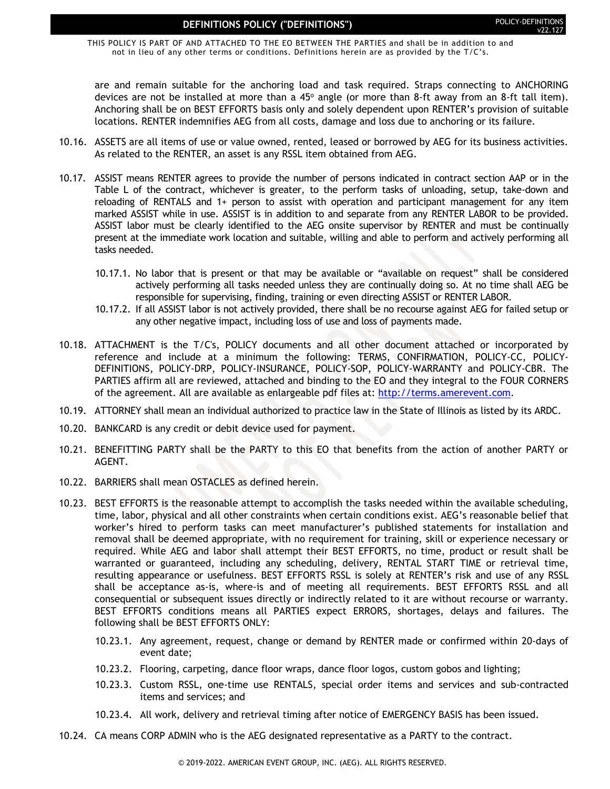THIS POLICY IS PART OF AND ATTACHED TO THE EO BETWEEN THE PARTIES and shall be in addition to and not in lieu of any other terms or conditions. Definitions herein are as provided by the T/C's.

are and remain suitable for the anchoring load and task required. Straps connecting to ANCHORING devices are not be installed at more than a 45 $^{\circ}$  angle (or more than 8-ft away from an 8-ft tall item). Anchoring shall be on BEST EFFORTS basis only and solely dependent upon RENTER's provision of suitable locations. RENTER indemnifies AEG from all costs, damage and loss due to anchoring or its failure.

- 10.16. ASSETS are all items of use or value owned, rented, leased or borrowed by AEG for its business activities. As related to the RENTER, an asset is any RSSL item obtained from AEG.
- 10.17. ASSIST means RENTER agrees to provide the number of persons indicated in contract section AAP or in the Table L of the contract, whichever is greater, to the perform tasks of unloading, setup, take-down and reloading of RENTALS and 1+ person to assist with operation and participant management for any item marked ASSIST while in use. ASSIST is in addition to and separate from any RENTER LABOR to be provided. ASSIST labor must be clearly identified to the AEG onsite supervisor by RENTER and must be continually present at the immediate work location and suitable, willing and able to perform and actively performing all tasks needed.
	- 10.17.1. No labor that is present or that may be available or "available on request" shall be considered actively performing all tasks needed unless they are continually doing so. At no time shall AEG be responsible for supervising, finding, training or even directing ASSIST or RENTER LABOR.
	- 10.17.2. If all ASSIST labor is not actively provided, there shall be no recourse against AEG for failed setup or any other negative impact, including loss of use and loss of payments made.
- 10.18. ATTACHMENT is the T/C's, POLICY documents and all other document attached or incorporated by reference and include at a minimum the following: TERMS, CONFIRMATION, POLICY-CC, POLICY-DEFINITIONS, POLICY-DRP, POLICY-INSURANCE, POLICY-SOP, POLICY-WARRANTY and POLICY-CBR. The PARTIES affirm all are reviewed, attached and binding to the EO and they integral to the FOUR CORNERS of the agreement. All are available as enlargeable pdf files at: [http://terms.amerevent.com.](http://terms.amerevent.com/)
- 10.19. ATTORNEY shall mean an individual authorized to practice law in the State of Illinois as listed by its ARDC.
- 10.20. BANKCARD is any credit or debit device used for payment.
- 10.21. BENEFITTING PARTY shall be the PARTY to this EO that benefits from the action of another PARTY or AGENT.
- 10.22. BARRIERS shall mean OSTACLES as defined herein.
- 10.23. BEST EFFORTS is the reasonable attempt to accomplish the tasks needed within the available scheduling, time, labor, physical and all other constraints when certain conditions exist. AEG's reasonable belief that worker's hired to perform tasks can meet manufacturer's published statements for installation and removal shall be deemed appropriate, with no requirement for training, skill or experience necessary or required. While AEG and labor shall attempt their BEST EFFORTS, no time, product or result shall be warranted or guaranteed, including any scheduling, delivery, RENTAL START TIME or retrieval time, resulting appearance or usefulness. BEST EFFORTS RSSL is solely at RENTER's risk and use of any RSSL shall be acceptance as-is, where-is and of meeting all requirements. BEST EFFORTS RSSL and all consequential or subsequent issues directly or indirectly related to it are without recourse or warranty. BEST EFFORTS conditions means all PARTIES expect ERRORS, shortages, delays and failures. The following shall be BEST EFFORTS ONLY:
	- 10.23.1. Any agreement, request, change or demand by RENTER made or confirmed within 20-days of event date;
	- 10.23.2. Flooring, carpeting, dance floor wraps, dance floor logos, custom gobos and lighting;
	- 10.23.3. Custom RSSL, one-time use RENTALS, special order items and services and sub-contracted items and services; and
	- 10.23.4. All work, delivery and retrieval timing after notice of EMERGENCY BASIS has been issued.
- 10.24. CA means CORP ADMIN who is the AEG designated representative as a PARTY to the contract.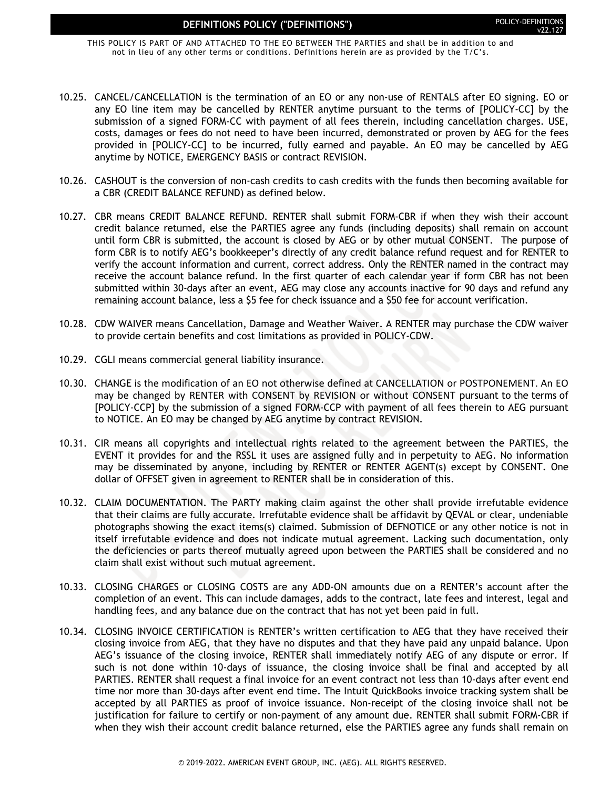THIS POLICY IS PART OF AND ATTACHED TO THE EO BETWEEN THE PARTIES and shall be in addition to and not in lieu of any other terms or conditions. Definitions herein are as provided by the T/C's.

- 10.25. CANCEL/CANCELLATION is the termination of an EO or any non-use of RENTALS after EO signing. EO or any EO line item may be cancelled by RENTER anytime pursuant to the terms of [POLICY-CC] by the submission of a signed FORM-CC with payment of all fees therein, including cancellation charges. USE, costs, damages or fees do not need to have been incurred, demonstrated or proven by AEG for the fees provided in [POLICY-CC] to be incurred, fully earned and payable. An EO may be cancelled by AEG anytime by NOTICE, EMERGENCY BASIS or contract REVISION.
- 10.26. CASHOUT is the conversion of non-cash credits to cash credits with the funds then becoming available for a CBR (CREDIT BALANCE REFUND) as defined below.
- 10.27. CBR means CREDIT BALANCE REFUND. RENTER shall submit FORM-CBR if when they wish their account credit balance returned, else the PARTIES agree any funds (including deposits) shall remain on account until form CBR is submitted, the account is closed by AEG or by other mutual CONSENT. The purpose of form CBR is to notify AEG's bookkeeper's directly of any credit balance refund request and for RENTER to verify the account information and current, correct address. Only the RENTER named in the contract may receive the account balance refund. In the first quarter of each calendar year if form CBR has not been submitted within 30-days after an event, AEG may close any accounts inactive for 90 days and refund any remaining account balance, less a \$5 fee for check issuance and a \$50 fee for account verification.
- 10.28. CDW WAIVER means Cancellation, Damage and Weather Waiver. A RENTER may purchase the CDW waiver to provide certain benefits and cost limitations as provided in POLICY-CDW.
- 10.29. CGLI means commercial general liability insurance.
- 10.30. CHANGE is the modification of an EO not otherwise defined at CANCELLATION or POSTPONEMENT. An EO may be changed by RENTER with CONSENT by REVISION or without CONSENT pursuant to the terms of [POLICY-CCP] by the submission of a signed FORM-CCP with payment of all fees therein to AEG pursuant to NOTICE. An EO may be changed by AEG anytime by contract REVISION.
- 10.31. CIR means all copyrights and intellectual rights related to the agreement between the PARTIES, the EVENT it provides for and the RSSL it uses are assigned fully and in perpetuity to AEG. No information may be disseminated by anyone, including by RENTER or RENTER AGENT(s) except by CONSENT. One dollar of OFFSET given in agreement to RENTER shall be in consideration of this.
- 10.32. CLAIM DOCUMENTATION. The PARTY making claim against the other shall provide irrefutable evidence that their claims are fully accurate. Irrefutable evidence shall be affidavit by QEVAL or clear, undeniable photographs showing the exact items(s) claimed. Submission of DEFNOTICE or any other notice is not in itself irrefutable evidence and does not indicate mutual agreement. Lacking such documentation, only the deficiencies or parts thereof mutually agreed upon between the PARTIES shall be considered and no claim shall exist without such mutual agreement.
- 10.33. CLOSING CHARGES or CLOSING COSTS are any ADD-ON amounts due on a RENTER's account after the completion of an event. This can include damages, adds to the contract, late fees and interest, legal and handling fees, and any balance due on the contract that has not yet been paid in full.
- 10.34. CLOSING INVOICE CERTIFICATION is RENTER's written certification to AEG that they have received their closing invoice from AEG, that they have no disputes and that they have paid any unpaid balance. Upon AEG's issuance of the closing invoice, RENTER shall immediately notify AEG of any dispute or error. If such is not done within 10-days of issuance, the closing invoice shall be final and accepted by all PARTIES. RENTER shall request a final invoice for an event contract not less than 10-days after event end time nor more than 30-days after event end time. The Intuit QuickBooks invoice tracking system shall be accepted by all PARTIES as proof of invoice issuance. Non-receipt of the closing invoice shall not be justification for failure to certify or non-payment of any amount due. RENTER shall submit FORM-CBR if when they wish their account credit balance returned, else the PARTIES agree any funds shall remain on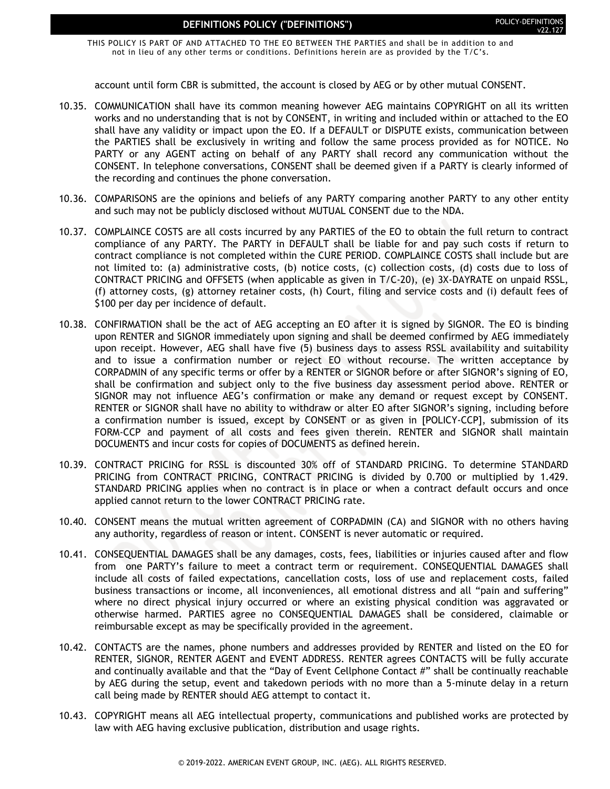THIS POLICY IS PART OF AND ATTACHED TO THE EO BETWEEN THE PARTIES and shall be in addition to and not in lieu of any other terms or conditions. Definitions herein are as provided by the T/C's.

account until form CBR is submitted, the account is closed by AEG or by other mutual CONSENT.

- 10.35. COMMUNICATION shall have its common meaning however AEG maintains COPYRIGHT on all its written works and no understanding that is not by CONSENT, in writing and included within or attached to the EO shall have any validity or impact upon the EO. If a DEFAULT or DISPUTE exists, communication between the PARTIES shall be exclusively in writing and follow the same process provided as for NOTICE. No PARTY or any AGENT acting on behalf of any PARTY shall record any communication without the CONSENT. In telephone conversations, CONSENT shall be deemed given if a PARTY is clearly informed of the recording and continues the phone conversation.
- 10.36. COMPARISONS are the opinions and beliefs of any PARTY comparing another PARTY to any other entity and such may not be publicly disclosed without MUTUAL CONSENT due to the NDA.
- 10.37. COMPLAINCE COSTS are all costs incurred by any PARTIES of the EO to obtain the full return to contract compliance of any PARTY. The PARTY in DEFAULT shall be liable for and pay such costs if return to contract compliance is not completed within the CURE PERIOD. COMPLAINCE COSTS shall include but are not limited to: (a) administrative costs, (b) notice costs, (c) collection costs, (d) costs due to loss of CONTRACT PRICING and OFFSETS (when applicable as given in T/C-20), (e) 3X-DAYRATE on unpaid RSSL, (f) attorney costs, (g) attorney retainer costs, (h) Court, filing and service costs and (i) default fees of \$100 per day per incidence of default.
- 10.38. CONFIRMATION shall be the act of AEG accepting an EO after it is signed by SIGNOR. The EO is binding upon RENTER and SIGNOR immediately upon signing and shall be deemed confirmed by AEG immediately upon receipt. However, AEG shall have five (5) business days to assess RSSL availability and suitability and to issue a confirmation number or reject EO without recourse. The written acceptance by CORPADMIN of any specific terms or offer by a RENTER or SIGNOR before or after SIGNOR's signing of EO, shall be confirmation and subject only to the five business day assessment period above. RENTER or SIGNOR may not influence AEG's confirmation or make any demand or request except by CONSENT. RENTER or SIGNOR shall have no ability to withdraw or alter EO after SIGNOR's signing, including before a confirmation number is issued, except by CONSENT or as given in [POLICY-CCP], submission of its FORM-CCP and payment of all costs and fees given therein. RENTER and SIGNOR shall maintain DOCUMENTS and incur costs for copies of DOCUMENTS as defined herein.
- 10.39. CONTRACT PRICING for RSSL is discounted 30% off of STANDARD PRICING. To determine STANDARD PRICING from CONTRACT PRICING, CONTRACT PRICING is divided by 0.700 or multiplied by 1.429. STANDARD PRICING applies when no contract is in place or when a contract default occurs and once applied cannot return to the lower CONTRACT PRICING rate.
- 10.40. CONSENT means the mutual written agreement of CORPADMIN (CA) and SIGNOR with no others having any authority, regardless of reason or intent. CONSENT is never automatic or required.
- 10.41. CONSEQUENTIAL DAMAGES shall be any damages, costs, fees, liabilities or injuries caused after and flow from one PARTY's failure to meet a contract term or requirement. CONSEQUENTIAL DAMAGES shall include all costs of failed expectations, cancellation costs, loss of use and replacement costs, failed business transactions or income, all inconveniences, all emotional distress and all "pain and suffering" where no direct physical injury occurred or where an existing physical condition was aggravated or otherwise harmed. PARTIES agree no CONSEQUENTIAL DAMAGES shall be considered, claimable or reimbursable except as may be specifically provided in the agreement.
- 10.42. CONTACTS are the names, phone numbers and addresses provided by RENTER and listed on the EO for RENTER, SIGNOR, RENTER AGENT and EVENT ADDRESS. RENTER agrees CONTACTS will be fully accurate and continually available and that the "Day of Event Cellphone Contact #" shall be continually reachable by AEG during the setup, event and takedown periods with no more than a 5-minute delay in a return call being made by RENTER should AEG attempt to contact it.
- 10.43. COPYRIGHT means all AEG intellectual property, communications and published works are protected by law with AEG having exclusive publication, distribution and usage rights.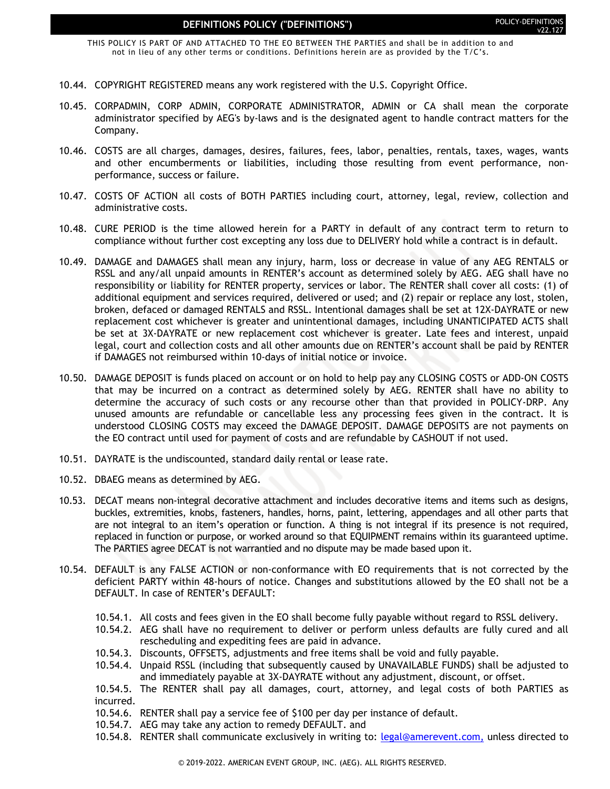THIS POLICY IS PART OF AND ATTACHED TO THE EO BETWEEN THE PARTIES and shall be in addition to and not in lieu of any other terms or conditions. Definitions herein are as provided by the T/C's.

- 10.44. COPYRIGHT REGISTERED means any work registered with the U.S. Copyright Office.
- 10.45. CORPADMIN, CORP ADMIN, CORPORATE ADMINISTRATOR, ADMIN or CA shall mean the corporate administrator specified by AEG's by-laws and is the designated agent to handle contract matters for the Company.
- 10.46. COSTS are all charges, damages, desires, failures, fees, labor, penalties, rentals, taxes, wages, wants and other encumberments or liabilities, including those resulting from event performance, nonperformance, success or failure.
- 10.47. COSTS OF ACTION all costs of BOTH PARTIES including court, attorney, legal, review, collection and administrative costs.
- 10.48. CURE PERIOD is the time allowed herein for a PARTY in default of any contract term to return to compliance without further cost excepting any loss due to DELIVERY hold while a contract is in default.
- 10.49. DAMAGE and DAMAGES shall mean any injury, harm, loss or decrease in value of any AEG RENTALS or RSSL and any/all unpaid amounts in RENTER's account as determined solely by AEG. AEG shall have no responsibility or liability for RENTER property, services or labor. The RENTER shall cover all costs: (1) of additional equipment and services required, delivered or used; and (2) repair or replace any lost, stolen, broken, defaced or damaged RENTALS and RSSL. Intentional damages shall be set at 12X-DAYRATE or new replacement cost whichever is greater and unintentional damages, including UNANTICIPATED ACTS shall be set at 3X-DAYRATE or new replacement cost whichever is greater. Late fees and interest, unpaid legal, court and collection costs and all other amounts due on RENTER's account shall be paid by RENTER if DAMAGES not reimbursed within 10-days of initial notice or invoice.
- 10.50. DAMAGE DEPOSIT is funds placed on account or on hold to help pay any CLOSING COSTS or ADD-ON COSTS that may be incurred on a contract as determined solely by AEG. RENTER shall have no ability to determine the accuracy of such costs or any recourse other than that provided in POLICY-DRP. Any unused amounts are refundable or cancellable less any processing fees given in the contract. It is understood CLOSING COSTS may exceed the DAMAGE DEPOSIT. DAMAGE DEPOSITS are not payments on the EO contract until used for payment of costs and are refundable by CASHOUT if not used.
- 10.51. DAYRATE is the undiscounted, standard daily rental or lease rate.
- 10.52. DBAEG means as determined by AEG.
- 10.53. DECAT means non-integral decorative attachment and includes decorative items and items such as designs, buckles, extremities, knobs, fasteners, handles, horns, paint, lettering, appendages and all other parts that are not integral to an item's operation or function. A thing is not integral if its presence is not required, replaced in function or purpose, or worked around so that EQUIPMENT remains within its guaranteed uptime. The PARTIES agree DECAT is not warrantied and no dispute may be made based upon it.
- 10.54. DEFAULT is any FALSE ACTION or non-conformance with EO requirements that is not corrected by the deficient PARTY within 48-hours of notice. Changes and substitutions allowed by the EO shall not be a DEFAULT. In case of RENTER's DEFAULT:
	- 10.54.1. All costs and fees given in the EO shall become fully payable without regard to RSSL delivery.
	- 10.54.2. AEG shall have no requirement to deliver or perform unless defaults are fully cured and all rescheduling and expediting fees are paid in advance.
	- 10.54.3. Discounts, OFFSETS, adjustments and free items shall be void and fully payable.
	- 10.54.4. Unpaid RSSL (including that subsequently caused by UNAVAILABLE FUNDS) shall be adjusted to and immediately payable at 3X-DAYRATE without any adjustment, discount, or offset.

10.54.5. The RENTER shall pay all damages, court, attorney, and legal costs of both PARTIES as incurred.

- 10.54.6. RENTER shall pay a service fee of \$100 per day per instance of default.
- 10.54.7. AEG may take any action to remedy DEFAULT. and
- 10.54.8. RENTER shall communicate exclusively in writing to: [legal@amerevent.com,](file:///P:/AMEREVENT.COM/INFO/POLICY/POLICY-DEFINITIONS/legal@amerevent.com) unless directed to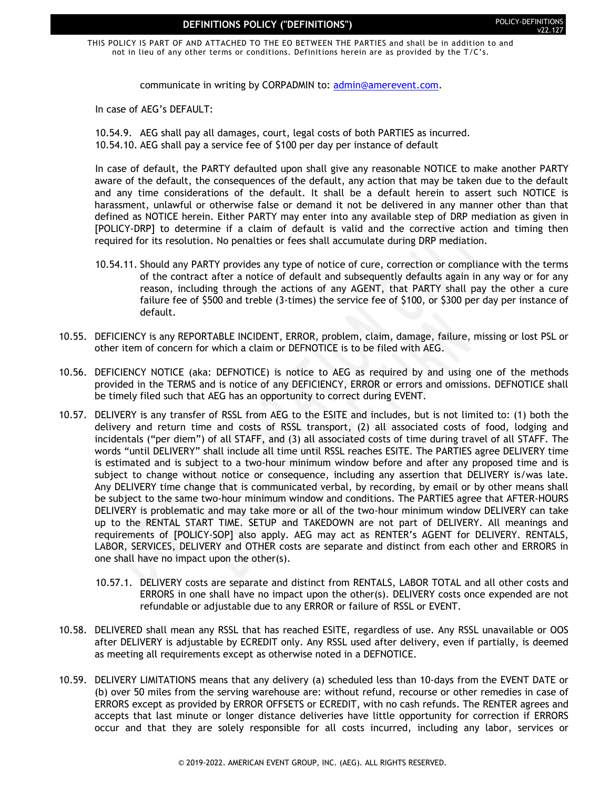THIS POLICY IS PART OF AND ATTACHED TO THE EO BETWEEN THE PARTIES and shall be in addition to and not in lieu of any other terms or conditions. Definitions herein are as provided by the T/C's.

communicate in writing by CORPADMIN to: [admin@amerevent.com.](mailto:admin@amerevent.com)

In case of AEG's DEFAULT:

10.54.9. AEG shall pay all damages, court, legal costs of both PARTIES as incurred. 10.54.10. AEG shall pay a service fee of \$100 per day per instance of default

In case of default, the PARTY defaulted upon shall give any reasonable NOTICE to make another PARTY aware of the default, the consequences of the default, any action that may be taken due to the default and any time considerations of the default. It shall be a default herein to assert such NOTICE is harassment, unlawful or otherwise false or demand it not be delivered in any manner other than that defined as NOTICE herein. Either PARTY may enter into any available step of DRP mediation as given in [POLICY-DRP] to determine if a claim of default is valid and the corrective action and timing then required for its resolution. No penalties or fees shall accumulate during DRP mediation.

- 10.54.11. Should any PARTY provides any type of notice of cure, correction or compliance with the terms of the contract after a notice of default and subsequently defaults again in any way or for any reason, including through the actions of any AGENT, that PARTY shall pay the other a cure failure fee of \$500 and treble (3-times) the service fee of \$100, or \$300 per day per instance of default.
- 10.55. DEFICIENCY is any REPORTABLE INCIDENT, ERROR, problem, claim, damage, failure, missing or lost PSL or other item of concern for which a claim or DEFNOTICE is to be filed with AEG.
- 10.56. DEFICIENCY NOTICE (aka: DEFNOTICE) is notice to AEG as required by and using one of the methods provided in the TERMS and is notice of any DEFICIENCY, ERROR or errors and omissions. DEFNOTICE shall be timely filed such that AEG has an opportunity to correct during EVENT.
- 10.57. DELIVERY is any transfer of RSSL from AEG to the ESITE and includes, but is not limited to: (1) both the delivery and return time and costs of RSSL transport, (2) all associated costs of food, lodging and incidentals ("per diem") of all STAFF, and (3) all associated costs of time during travel of all STAFF. The words "until DELIVERY" shall include all time until RSSL reaches ESITE. The PARTIES agree DELIVERY time is estimated and is subject to a two-hour minimum window before and after any proposed time and is subject to change without notice or consequence, including any assertion that DELIVERY is/was late. Any DELIVERY time change that is communicated verbal, by recording, by email or by other means shall be subject to the same two-hour minimum window and conditions. The PARTIES agree that AFTER-HOURS DELIVERY is problematic and may take more or all of the two-hour minimum window DELIVERY can take up to the RENTAL START TIME. SETUP and TAKEDOWN are not part of DELIVERY. All meanings and requirements of [POLICY-SOP] also apply. AEG may act as RENTER's AGENT for DELIVERY. RENTALS, LABOR, SERVICES, DELIVERY and OTHER costs are separate and distinct from each other and ERRORS in one shall have no impact upon the other(s).
	- 10.57.1. DELIVERY costs are separate and distinct from RENTALS, LABOR TOTAL and all other costs and ERRORS in one shall have no impact upon the other(s). DELIVERY costs once expended are not refundable or adjustable due to any ERROR or failure of RSSL or EVENT.
- 10.58. DELIVERED shall mean any RSSL that has reached ESITE, regardless of use. Any RSSL unavailable or OOS after DELIVERY is adjustable by ECREDIT only. Any RSSL used after delivery, even if partially, is deemed as meeting all requirements except as otherwise noted in a DEFNOTICE.
- 10.59. DELIVERY LIMITATIONS means that any delivery (a) scheduled less than 10-days from the EVENT DATE or (b) over 50 miles from the serving warehouse are: without refund, recourse or other remedies in case of ERRORS except as provided by ERROR OFFSETS or ECREDIT, with no cash refunds. The RENTER agrees and accepts that last minute or longer distance deliveries have little opportunity for correction if ERRORS occur and that they are solely responsible for all costs incurred, including any labor, services or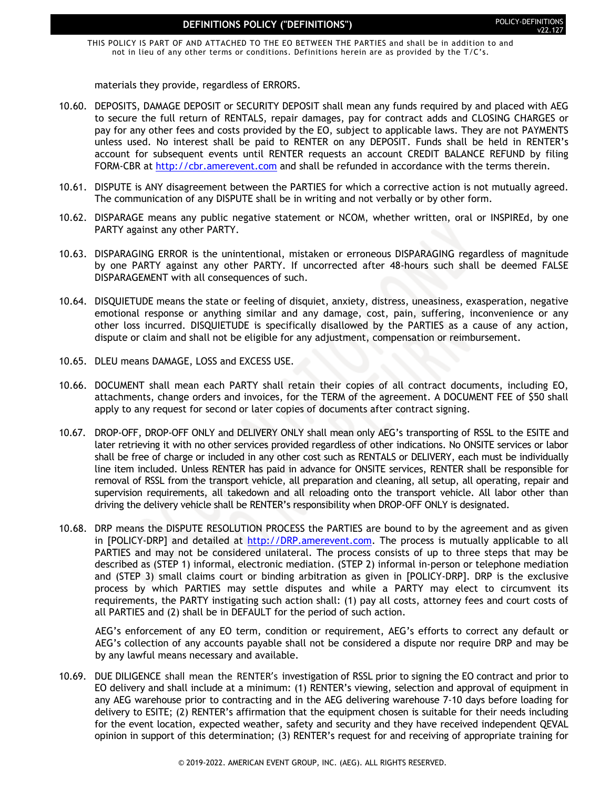THIS POLICY IS PART OF AND ATTACHED TO THE EO BETWEEN THE PARTIES and shall be in addition to and not in lieu of any other terms or conditions. Definitions herein are as provided by the T/C's.

materials they provide, regardless of ERRORS.

- 10.60. DEPOSITS, DAMAGE DEPOSIT or SECURITY DEPOSIT shall mean any funds required by and placed with AEG to secure the full return of RENTALS, repair damages, pay for contract adds and CLOSING CHARGES or pay for any other fees and costs provided by the EO, subject to applicable laws. They are not PAYMENTS unless used. No interest shall be paid to RENTER on any DEPOSIT. Funds shall be held in RENTER's account for subsequent events until RENTER requests an account CREDIT BALANCE REFUND by filing FORM-CBR at [http://cbr.amerevent.com](http://cbr.amerevent.com/) and shall be refunded in accordance with the terms therein.
- 10.61. DISPUTE is ANY disagreement between the PARTIES for which a corrective action is not mutually agreed. The communication of any DISPUTE shall be in writing and not verbally or by other form.
- 10.62. DISPARAGE means any public negative statement or NCOM, whether written, oral or INSPIREd, by one PARTY against any other PARTY.
- 10.63. DISPARAGING ERROR is the unintentional, mistaken or erroneous DISPARAGING regardless of magnitude by one PARTY against any other PARTY. If uncorrected after 48-hours such shall be deemed FALSE DISPARAGEMENT with all consequences of such.
- 10.64. DISQUIETUDE means the state or feeling of disquiet, anxiety, distress, uneasiness, exasperation, negative emotional response or anything similar and any damage, cost, pain, suffering, inconvenience or any other loss incurred. DISQUIETUDE is specifically disallowed by the PARTIES as a cause of any action, dispute or claim and shall not be eligible for any adjustment, compensation or reimbursement.
- 10.65. DLEU means DAMAGE, LOSS and EXCESS USE.
- 10.66. DOCUMENT shall mean each PARTY shall retain their copies of all contract documents, including EO, attachments, change orders and invoices, for the TERM of the agreement. A DOCUMENT FEE of \$50 shall apply to any request for second or later copies of documents after contract signing.
- 10.67. DROP-OFF, DROP-OFF ONLY and DELIVERY ONLY shall mean only AEG's transporting of RSSL to the ESITE and later retrieving it with no other services provided regardless of other indications. No ONSITE services or labor shall be free of charge or included in any other cost such as RENTALS or DELIVERY, each must be individually line item included. Unless RENTER has paid in advance for ONSITE services, RENTER shall be responsible for removal of RSSL from the transport vehicle, all preparation and cleaning, all setup, all operating, repair and supervision requirements, all takedown and all reloading onto the transport vehicle. All labor other than driving the delivery vehicle shall be RENTER's responsibility when DROP-OFF ONLY is designated.
- 10.68. DRP means the DISPUTE RESOLUTION PROCESS the PARTIES are bound to by the agreement and as given in [POLICY-DRP] and detailed at [http://DRP.amerevent.com.](http://drp.amerevent.com/) The process is mutually applicable to all PARTIES and may not be considered unilateral. The process consists of up to three steps that may be described as (STEP 1) informal, electronic mediation. (STEP 2) informal in-person or telephone mediation and (STEP 3) small claims court or binding arbitration as given in [POLICY-DRP]. DRP is the exclusive process by which PARTIES may settle disputes and while a PARTY may elect to circumvent its requirements, the PARTY instigating such action shall: (1) pay all costs, attorney fees and court costs of all PARTIES and (2) shall be in DEFAULT for the period of such action.

AEG's enforcement of any EO term, condition or requirement, AEG's efforts to correct any default or AEG's collection of any accounts payable shall not be considered a dispute nor require DRP and may be by any lawful means necessary and available.

10.69. DUE DILIGENCE shall mean the RENTER's investigation of RSSL prior to signing the EO contract and prior to EO delivery and shall include at a minimum: (1) RENTER's viewing, selection and approval of equipment in any AEG warehouse prior to contracting and in the AEG delivering warehouse 7-10 days before loading for delivery to ESITE; (2) RENTER's affirmation that the equipment chosen is suitable for their needs including for the event location, expected weather, safety and security and they have received independent QEVAL opinion in support of this determination; (3) RENTER's request for and receiving of appropriate training for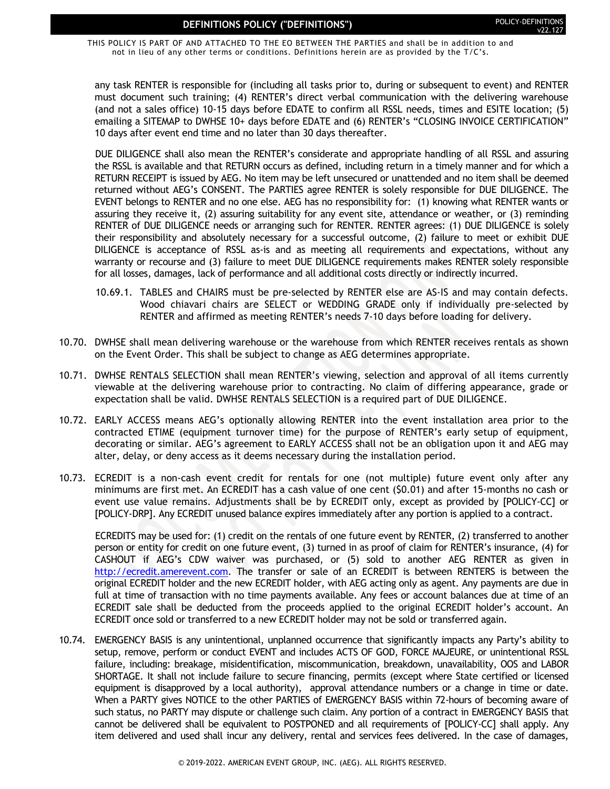THIS POLICY IS PART OF AND ATTACHED TO THE EO BETWEEN THE PARTIES and shall be in addition to and not in lieu of any other terms or conditions. Definitions herein are as provided by the T/C's.

any task RENTER is responsible for (including all tasks prior to, during or subsequent to event) and RENTER must document such training; (4) RENTER's direct verbal communication with the delivering warehouse (and not a sales office) 10-15 days before EDATE to confirm all RSSL needs, times and ESITE location; (5) emailing a SITEMAP to DWHSE 10+ days before EDATE and (6) RENTER's "CLOSING INVOICE CERTIFICATION" 10 days after event end time and no later than 30 days thereafter.

DUE DILIGENCE shall also mean the RENTER's considerate and appropriate handling of all RSSL and assuring the RSSL is available and that RETURN occurs as defined, including return in a timely manner and for which a RETURN RECEIPT is issued by AEG. No item may be left unsecured or unattended and no item shall be deemed returned without AEG's CONSENT. The PARTIES agree RENTER is solely responsible for DUE DILIGENCE. The EVENT belongs to RENTER and no one else. AEG has no responsibility for: (1) knowing what RENTER wants or assuring they receive it, (2) assuring suitability for any event site, attendance or weather, or (3) reminding RENTER of DUE DILIGENCE needs or arranging such for RENTER. RENTER agrees: (1) DUE DILIGENCE is solely their responsibility and absolutely necessary for a successful outcome, (2) failure to meet or exhibit DUE DILIGENCE is acceptance of RSSL as-is and as meeting all requirements and expectations, without any warranty or recourse and (3) failure to meet DUE DILIGENCE requirements makes RENTER solely responsible for all losses, damages, lack of performance and all additional costs directly or indirectly incurred.

- 10.69.1. TABLES and CHAIRS must be pre-selected by RENTER else are AS-IS and may contain defects. Wood chiavari chairs are SELECT or WEDDING GRADE only if individually pre-selected by RENTER and affirmed as meeting RENTER's needs 7-10 days before loading for delivery.
- 10.70. DWHSE shall mean delivering warehouse or the warehouse from which RENTER receives rentals as shown on the Event Order. This shall be subject to change as AEG determines appropriate.
- 10.71. DWHSE RENTALS SELECTION shall mean RENTER's viewing, selection and approval of all items currently viewable at the delivering warehouse prior to contracting. No claim of differing appearance, grade or expectation shall be valid. DWHSE RENTALS SELECTION is a required part of DUE DILIGENCE.
- 10.72. EARLY ACCESS means AEG's optionally allowing RENTER into the event installation area prior to the contracted ETIME (equipment turnover time) for the purpose of RENTER's early setup of equipment, decorating or similar. AEG's agreement to EARLY ACCESS shall not be an obligation upon it and AEG may alter, delay, or deny access as it deems necessary during the installation period.
- 10.73. ECREDIT is a non-cash event credit for rentals for one (not multiple) future event only after any minimums are first met. An ECREDIT has a cash value of one cent (\$0.01) and after 15-months no cash or event use value remains. Adjustments shall be by ECREDIT only, except as provided by [POLICY-CC] or [POLICY-DRP]. Any ECREDIT unused balance expires immediately after any portion is applied to a contract.

ECREDITS may be used for: (1) credit on the rentals of one future event by RENTER, (2) transferred to another person or entity for credit on one future event, (3) turned in as proof of claim for RENTER's insurance, (4) for CASHOUT if AEG's CDW waiver was purchased, or (5) sold to another AEG RENTER as given in [http://ecredit.amerevent.com.](http://ecredit.amerevent.com/) The transfer or sale of an ECREDIT is between RENTERS is between the original ECREDIT holder and the new ECREDIT holder, with AEG acting only as agent. Any payments are due in full at time of transaction with no time payments available. Any fees or account balances due at time of an ECREDIT sale shall be deducted from the proceeds applied to the original ECREDIT holder's account. An ECREDIT once sold or transferred to a new ECREDIT holder may not be sold or transferred again.

10.74. EMERGENCY BASIS is any unintentional, unplanned occurrence that significantly impacts any Party's ability to setup, remove, perform or conduct EVENT and includes ACTS OF GOD, FORCE MAJEURE, or unintentional RSSL failure, including: breakage, misidentification, miscommunication, breakdown, unavailability, OOS and LABOR SHORTAGE. It shall not include failure to secure financing, permits (except where State certified or licensed equipment is disapproved by a local authority), approval attendance numbers or a change in time or date. When a PARTY gives NOTICE to the other PARTIES of EMERGENCY BASIS within 72-hours of becoming aware of such status, no PARTY may dispute or challenge such claim. Any portion of a contract in EMERGENCY BASIS that cannot be delivered shall be equivalent to POSTPONED and all requirements of [POLICY-CC] shall apply. Any item delivered and used shall incur any delivery, rental and services fees delivered. In the case of damages,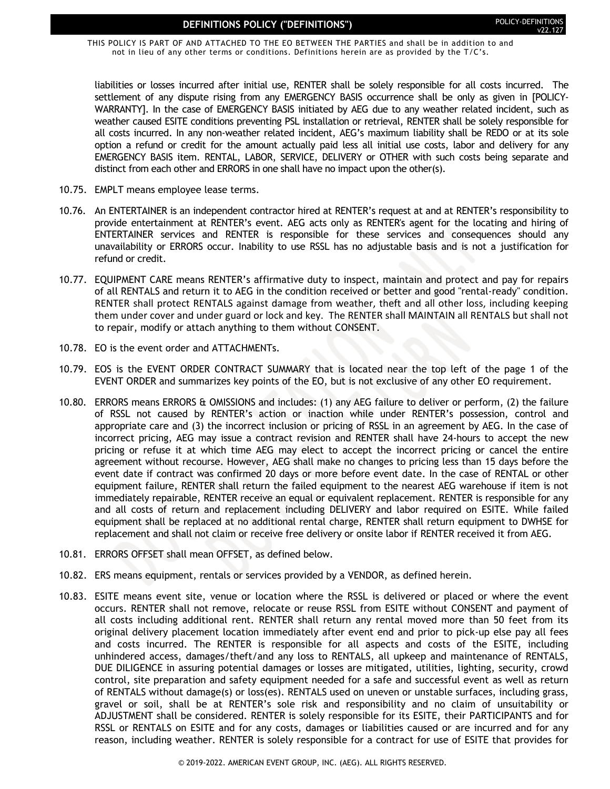THIS POLICY IS PART OF AND ATTACHED TO THE EO BETWEEN THE PARTIES and shall be in addition to and not in lieu of any other terms or conditions. Definitions herein are as provided by the T/C's.

liabilities or losses incurred after initial use, RENTER shall be solely responsible for all costs incurred. The settlement of any dispute rising from any EMERGENCY BASIS occurrence shall be only as given in [POLICY-WARRANTY]. In the case of EMERGENCY BASIS initiated by AEG due to any weather related incident, such as weather caused ESITE conditions preventing PSL installation or retrieval, RENTER shall be solely responsible for all costs incurred. In any non-weather related incident, AEG's maximum liability shall be REDO or at its sole option a refund or credit for the amount actually paid less all initial use costs, labor and delivery for any EMERGENCY BASIS item. RENTAL, LABOR, SERVICE, DELIVERY or OTHER with such costs being separate and distinct from each other and ERRORS in one shall have no impact upon the other(s).

- 10.75. EMPLT means employee lease terms.
- 10.76. An ENTERTAINER is an independent contractor hired at RENTER's request at and at RENTER's responsibility to provide entertainment at RENTER's event. AEG acts only as RENTER's agent for the locating and hiring of ENTERTAINER services and RENTER is responsible for these services and consequences should any unavailability or ERRORS occur. Inability to use RSSL has no adjustable basis and is not a justification for refund or credit.
- 10.77. EQUIPMENT CARE means RENTER's affirmative duty to inspect, maintain and protect and pay for repairs of all RENTALS and return it to AEG in the condition received or better and good "rental-ready" condition. RENTER shall protect RENTALS against damage from weather, theft and all other loss, including keeping them under cover and under guard or lock and key. The RENTER shall MAINTAIN all RENTALS but shall not to repair, modify or attach anything to them without CONSENT.
- 10.78. EO is the event order and ATTACHMENTs.
- 10.79. EOS is the EVENT ORDER CONTRACT SUMMARY that is located near the top left of the page 1 of the EVENT ORDER and summarizes key points of the EO, but is not exclusive of any other EO requirement.
- 10.80. ERRORS means ERRORS & OMISSIONS and includes: (1) any AEG failure to deliver or perform, (2) the failure of RSSL not caused by RENTER's action or inaction while under RENTER's possession, control and appropriate care and (3) the incorrect inclusion or pricing of RSSL in an agreement by AEG. In the case of incorrect pricing, AEG may issue a contract revision and RENTER shall have 24-hours to accept the new pricing or refuse it at which time AEG may elect to accept the incorrect pricing or cancel the entire agreement without recourse. However, AEG shall make no changes to pricing less than 15 days before the event date if contract was confirmed 20 days or more before event date. In the case of RENTAL or other equipment failure, RENTER shall return the failed equipment to the nearest AEG warehouse if item is not immediately repairable, RENTER receive an equal or equivalent replacement. RENTER is responsible for any and all costs of return and replacement including DELIVERY and labor required on ESITE. While failed equipment shall be replaced at no additional rental charge, RENTER shall return equipment to DWHSE for replacement and shall not claim or receive free delivery or onsite labor if RENTER received it from AEG.
- 10.81. ERRORS OFFSET shall mean OFFSET, as defined below.
- 10.82. ERS means equipment, rentals or services provided by a VENDOR, as defined herein.
- 10.83. ESITE means event site, venue or location where the RSSL is delivered or placed or where the event occurs. RENTER shall not remove, relocate or reuse RSSL from ESITE without CONSENT and payment of all costs including additional rent. RENTER shall return any rental moved more than 50 feet from its original delivery placement location immediately after event end and prior to pick-up else pay all fees and costs incurred. The RENTER is responsible for all aspects and costs of the ESITE, including unhindered access, damages/theft/and any loss to RENTALS, all upkeep and maintenance of RENTALS, DUE DILIGENCE in assuring potential damages or losses are mitigated, utilities, lighting, security, crowd control, site preparation and safety equipment needed for a safe and successful event as well as return of RENTALS without damage(s) or loss(es). RENTALS used on uneven or unstable surfaces, including grass, gravel or soil, shall be at RENTER's sole risk and responsibility and no claim of unsuitability or ADJUSTMENT shall be considered. RENTER is solely responsible for its ESITE, their PARTICIPANTS and for RSSL or RENTALS on ESITE and for any costs, damages or liabilities caused or are incurred and for any reason, including weather. RENTER is solely responsible for a contract for use of ESITE that provides for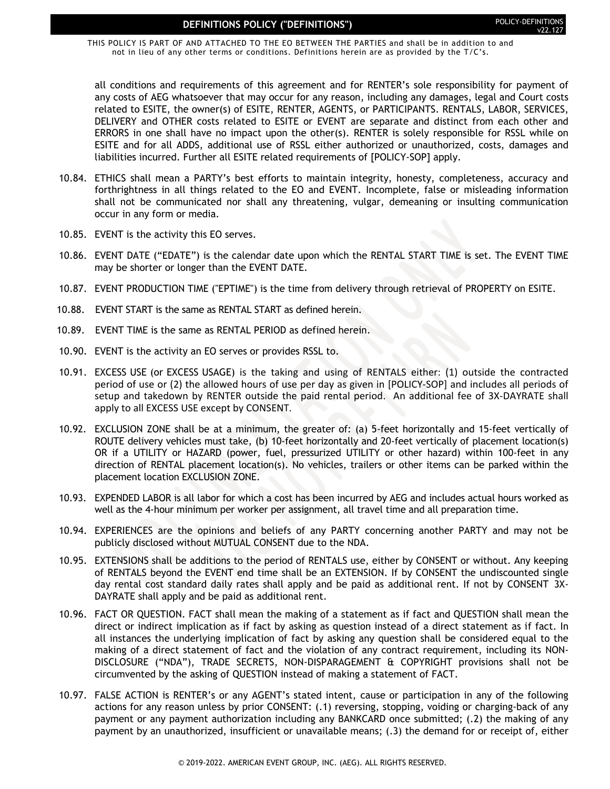THIS POLICY IS PART OF AND ATTACHED TO THE EO BETWEEN THE PARTIES and shall be in addition to and not in lieu of any other terms or conditions. Definitions herein are as provided by the T/C's.

all conditions and requirements of this agreement and for RENTER's sole responsibility for payment of any costs of AEG whatsoever that may occur for any reason, including any damages, legal and Court costs related to ESITE, the owner(s) of ESITE, RENTER, AGENTS, or PARTICIPANTS. RENTALS, LABOR, SERVICES, DELIVERY and OTHER costs related to ESITE or EVENT are separate and distinct from each other and ERRORS in one shall have no impact upon the other(s). RENTER is solely responsible for RSSL while on ESITE and for all ADDS, additional use of RSSL either authorized or unauthorized, costs, damages and liabilities incurred. Further all ESITE related requirements of [POLICY-SOP] apply.

- 10.84. ETHICS shall mean a PARTY's best efforts to maintain integrity, honesty, completeness, accuracy and forthrightness in all things related to the EO and EVENT. Incomplete, false or misleading information shall not be communicated nor shall any threatening, vulgar, demeaning or insulting communication occur in any form or media.
- 10.85. EVENT is the activity this EO serves.
- 10.86. EVENT DATE ("EDATE") is the calendar date upon which the RENTAL START TIME is set. The EVENT TIME may be shorter or longer than the EVENT DATE.
- 10.87. EVENT PRODUCTION TIME ("EPTIME") is the time from delivery through retrieval of PROPERTY on ESITE.
- 10.88. EVENT START is the same as RENTAL START as defined herein.
- 10.89. EVENT TIME is the same as RENTAL PERIOD as defined herein.
- 10.90. EVENT is the activity an EO serves or provides RSSL to.
- 10.91. EXCESS USE (or EXCESS USAGE) is the taking and using of RENTALS either: (1) outside the contracted period of use or (2) the allowed hours of use per day as given in [POLICY-SOP] and includes all periods of setup and takedown by RENTER outside the paid rental period. An additional fee of 3X-DAYRATE shall apply to all EXCESS USE except by CONSENT.
- 10.92. EXCLUSION ZONE shall be at a minimum, the greater of: (a) 5-feet horizontally and 15-feet vertically of ROUTE delivery vehicles must take, (b) 10-feet horizontally and 20-feet vertically of placement location(s) OR if a UTILITY or HAZARD (power, fuel, pressurized UTILITY or other hazard) within 100-feet in any direction of RENTAL placement location(s). No vehicles, trailers or other items can be parked within the placement location EXCLUSION ZONE.
- 10.93. EXPENDED LABOR is all labor for which a cost has been incurred by AEG and includes actual hours worked as well as the 4-hour minimum per worker per assignment, all travel time and all preparation time.
- 10.94. EXPERIENCES are the opinions and beliefs of any PARTY concerning another PARTY and may not be publicly disclosed without MUTUAL CONSENT due to the NDA.
- 10.95. EXTENSIONS shall be additions to the period of RENTALS use, either by CONSENT or without. Any keeping of RENTALS beyond the EVENT end time shall be an EXTENSION. If by CONSENT the undiscounted single day rental cost standard daily rates shall apply and be paid as additional rent. If not by CONSENT 3X-DAYRATE shall apply and be paid as additional rent.
- 10.96. FACT OR QUESTION. FACT shall mean the making of a statement as if fact and QUESTION shall mean the direct or indirect implication as if fact by asking as question instead of a direct statement as if fact. In all instances the underlying implication of fact by asking any question shall be considered equal to the making of a direct statement of fact and the violation of any contract requirement, including its NON-DISCLOSURE ("NDA"), TRADE SECRETS, NON-DISPARAGEMENT & COPYRIGHT provisions shall not be circumvented by the asking of QUESTION instead of making a statement of FACT.
- 10.97. FALSE ACTION is RENTER's or any AGENT's stated intent, cause or participation in any of the following actions for any reason unless by prior CONSENT: (.1) reversing, stopping, voiding or charging-back of any payment or any payment authorization including any BANKCARD once submitted; (.2) the making of any payment by an unauthorized, insufficient or unavailable means; (.3) the demand for or receipt of, either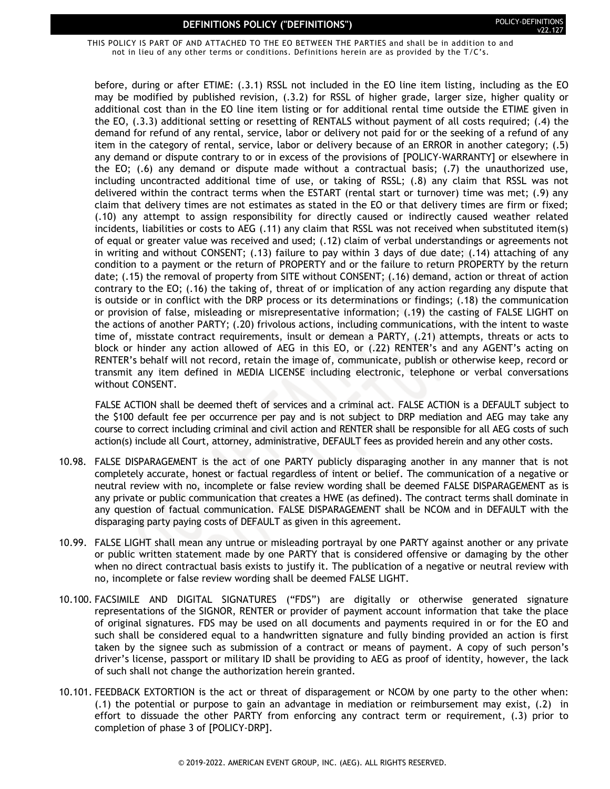THIS POLICY IS PART OF AND ATTACHED TO THE EO BETWEEN THE PARTIES and shall be in addition to and not in lieu of any other terms or conditions. Definitions herein are as provided by the T/C's.

before, during or after ETIME: (.3.1) RSSL not included in the EO line item listing, including as the EO may be modified by published revision, (.3.2) for RSSL of higher grade, larger size, higher quality or additional cost than in the EO line item listing or for additional rental time outside the ETIME given in the EO, (.3.3) additional setting or resetting of RENTALS without payment of all costs required; (.4) the demand for refund of any rental, service, labor or delivery not paid for or the seeking of a refund of any item in the category of rental, service, labor or delivery because of an ERROR in another category; (.5) any demand or dispute contrary to or in excess of the provisions of [POLICY-WARRANTY] or elsewhere in the EO; (.6) any demand or dispute made without a contractual basis; (.7) the unauthorized use, including uncontracted additional time of use, or taking of RSSL; (.8) any claim that RSSL was not delivered within the contract terms when the ESTART (rental start or turnover) time was met; (.9) any claim that delivery times are not estimates as stated in the EO or that delivery times are firm or fixed; (.10) any attempt to assign responsibility for directly caused or indirectly caused weather related incidents, liabilities or costs to AEG (.11) any claim that RSSL was not received when substituted item(s) of equal or greater value was received and used; (.12) claim of verbal understandings or agreements not in writing and without CONSENT; (.13) failure to pay within 3 days of due date; (.14) attaching of any condition to a payment or the return of PROPERTY and or the failure to return PROPERTY by the return date; (.15) the removal of property from SITE without CONSENT; (.16) demand, action or threat of action contrary to the EO; (.16) the taking of, threat of or implication of any action regarding any dispute that is outside or in conflict with the DRP process or its determinations or findings; (.18) the communication or provision of false, misleading or misrepresentative information; (.19) the casting of FALSE LIGHT on the actions of another PARTY; (.20) frivolous actions, including communications, with the intent to waste time of, misstate contract requirements, insult or demean a PARTY, (.21) attempts, threats or acts to block or hinder any action allowed of AEG in this EO, or (.22) RENTER's and any AGENT's acting on RENTER's behalf will not record, retain the image of, communicate, publish or otherwise keep, record or transmit any item defined in MEDIA LICENSE including electronic, telephone or verbal conversations without CONSENT.

FALSE ACTION shall be deemed theft of services and a criminal act. FALSE ACTION is a DEFAULT subject to the \$100 default fee per occurrence per pay and is not subject to DRP mediation and AEG may take any course to correct including criminal and civil action and RENTER shall be responsible for all AEG costs of such action(s) include all Court, attorney, administrative, DEFAULT fees as provided herein and any other costs.

- 10.98. FALSE DISPARAGEMENT is the act of one PARTY publicly disparaging another in any manner that is not completely accurate, honest or factual regardless of intent or belief. The communication of a negative or neutral review with no, incomplete or false review wording shall be deemed FALSE DISPARAGEMENT as is any private or public communication that creates a HWE (as defined). The contract terms shall dominate in any question of factual communication. FALSE DISPARAGEMENT shall be NCOM and in DEFAULT with the disparaging party paying costs of DEFAULT as given in this agreement.
- 10.99. FALSE LIGHT shall mean any untrue or misleading portrayal by one PARTY against another or any private or public written statement made by one PARTY that is considered offensive or damaging by the other when no direct contractual basis exists to justify it. The publication of a negative or neutral review with no, incomplete or false review wording shall be deemed FALSE LIGHT.
- 10.100. FACSIMILE AND DIGITAL SIGNATURES ("FDS") are digitally or otherwise generated signature representations of the SIGNOR, RENTER or provider of payment account information that take the place of original signatures. FDS may be used on all documents and payments required in or for the EO and such shall be considered equal to a handwritten signature and fully binding provided an action is first taken by the signee such as submission of a contract or means of payment. A copy of such person's driver's license, passport or military ID shall be providing to AEG as proof of identity, however, the lack of such shall not change the authorization herein granted.
- 10.101. FEEDBACK EXTORTION is the act or threat of disparagement or NCOM by one party to the other when: (.1) the potential or purpose to gain an advantage in mediation or reimbursement may exist, (.2) in effort to dissuade the other PARTY from enforcing any contract term or requirement, (.3) prior to completion of phase 3 of [POLICY-DRP].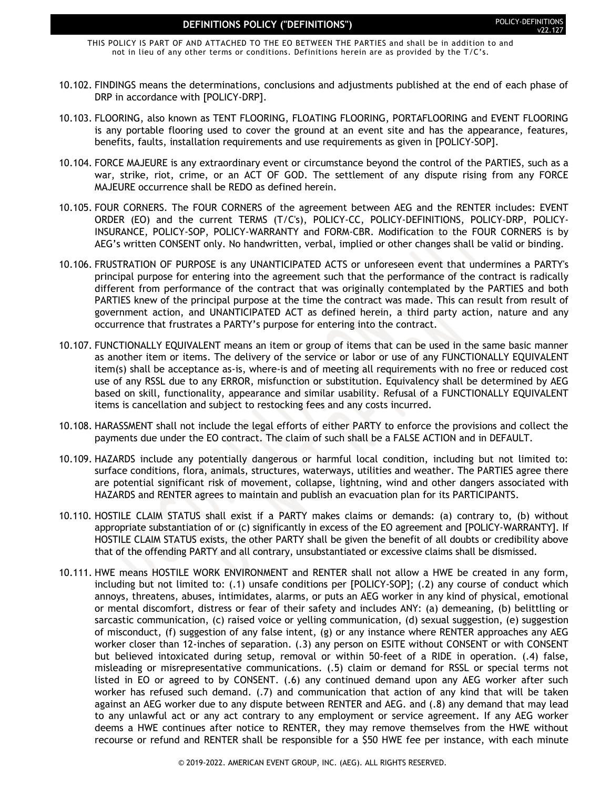THIS POLICY IS PART OF AND ATTACHED TO THE EO BETWEEN THE PARTIES and shall be in addition to and not in lieu of any other terms or conditions. Definitions herein are as provided by the T/C's.

- 10.102. FINDINGS means the determinations, conclusions and adjustments published at the end of each phase of DRP in accordance with [POLICY-DRP].
- 10.103. FLOORING, also known as TENT FLOORING, FLOATING FLOORING, PORTAFLOORING and EVENT FLOORING is any portable flooring used to cover the ground at an event site and has the appearance, features, benefits, faults, installation requirements and use requirements as given in [POLICY-SOP].
- 10.104. FORCE MAJEURE is any extraordinary event or circumstance beyond the control of the PARTIES, such as a war, strike, riot, crime, or an ACT OF GOD. The settlement of any dispute rising from any FORCE MAJEURE occurrence shall be REDO as defined herein.
- 10.105. FOUR CORNERS. The FOUR CORNERS of the agreement between AEG and the RENTER includes: EVENT ORDER (EO) and the current TERMS (T/C's), POLICY-CC, POLICY-DEFINITIONS, POLICY-DRP, POLICY-INSURANCE, POLICY-SOP, POLICY-WARRANTY and FORM-CBR. Modification to the FOUR CORNERS is by AEG's written CONSENT only. No handwritten, verbal, implied or other changes shall be valid or binding.
- 10.106. FRUSTRATION OF PURPOSE is any UNANTICIPATED ACTS or unforeseen event that undermines a PARTY's principal purpose for entering into the agreement such that the performance of the contract is radically different from performance of the contract that was originally contemplated by the PARTIES and both PARTIES knew of the principal purpose at the time the contract was made. This can result from result of government action, and UNANTICIPATED ACT as defined herein, a third party action, nature and any occurrence that frustrates a PARTY's purpose for entering into the contract.
- 10.107. FUNCTIONALLY EQUIVALENT means an item or group of items that can be used in the same basic manner as another item or items. The delivery of the service or labor or use of any FUNCTIONALLY EQUIVALENT item(s) shall be acceptance as-is, where-is and of meeting all requirements with no free or reduced cost use of any RSSL due to any ERROR, misfunction or substitution. Equivalency shall be determined by AEG based on skill, functionality, appearance and similar usability. Refusal of a FUNCTIONALLY EQUIVALENT items is cancellation and subject to restocking fees and any costs incurred.
- 10.108. HARASSMENT shall not include the legal efforts of either PARTY to enforce the provisions and collect the payments due under the EO contract. The claim of such shall be a FALSE ACTION and in DEFAULT.
- 10.109. HAZARDS include any potentially dangerous or harmful local condition, including but not limited to: surface conditions, flora, animals, structures, waterways, utilities and weather. The PARTIES agree there are potential significant risk of movement, collapse, lightning, wind and other dangers associated with HAZARDS and RENTER agrees to maintain and publish an evacuation plan for its PARTICIPANTS.
- 10.110. HOSTILE CLAIM STATUS shall exist if a PARTY makes claims or demands: (a) contrary to, (b) without appropriate substantiation of or (c) significantly in excess of the EO agreement and [POLICY-WARRANTY]. If HOSTILE CLAIM STATUS exists, the other PARTY shall be given the benefit of all doubts or credibility above that of the offending PARTY and all contrary, unsubstantiated or excessive claims shall be dismissed.
- 10.111. HWE means HOSTILE WORK ENVIRONMENT and RENTER shall not allow a HWE be created in any form, including but not limited to: (.1) unsafe conditions per [POLICY-SOP]; (.2) any course of conduct which annoys, threatens, abuses, intimidates, alarms, or puts an AEG worker in any kind of physical, emotional or mental discomfort, distress or fear of their safety and includes ANY: (a) demeaning, (b) belittling or sarcastic communication, (c) raised voice or yelling communication, (d) sexual suggestion, (e) suggestion of misconduct, (f) suggestion of any false intent, (g) or any instance where RENTER approaches any AEG worker closer than 12-inches of separation. (.3) any person on ESITE without CONSENT or with CONSENT but believed intoxicated during setup, removal or within 50-feet of a RIDE in operation. (.4) false, misleading or misrepresentative communications. (.5) claim or demand for RSSL or special terms not listed in EO or agreed to by CONSENT. (.6) any continued demand upon any AEG worker after such worker has refused such demand. (.7) and communication that action of any kind that will be taken against an AEG worker due to any dispute between RENTER and AEG. and (.8) any demand that may lead to any unlawful act or any act contrary to any employment or service agreement. If any AEG worker deems a HWE continues after notice to RENTER, they may remove themselves from the HWE without recourse or refund and RENTER shall be responsible for a \$50 HWE fee per instance, with each minute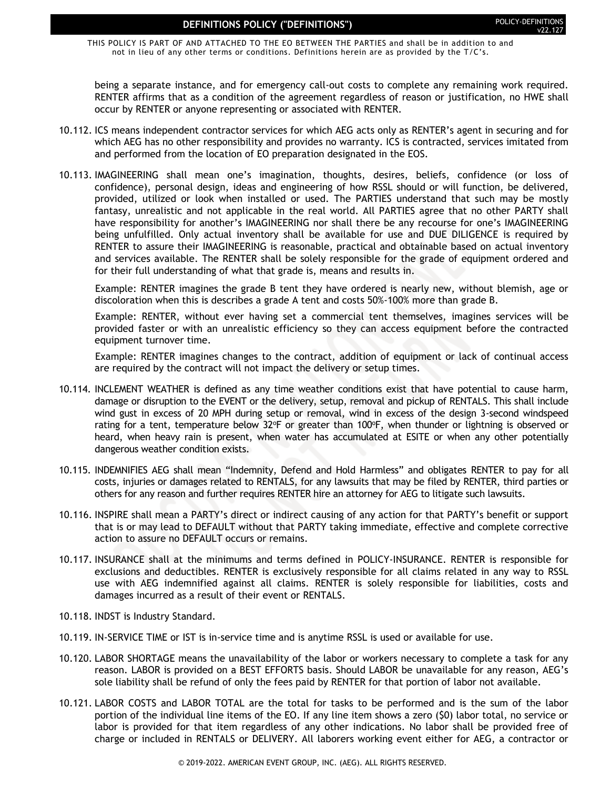THIS POLICY IS PART OF AND ATTACHED TO THE EO BETWEEN THE PARTIES and shall be in addition to and not in lieu of any other terms or conditions. Definitions herein are as provided by the T/C's.

being a separate instance, and for emergency call-out costs to complete any remaining work required. RENTER affirms that as a condition of the agreement regardless of reason or justification, no HWE shall occur by RENTER or anyone representing or associated with RENTER.

- 10.112. ICS means independent contractor services for which AEG acts only as RENTER's agent in securing and for which AEG has no other responsibility and provides no warranty. ICS is contracted, services imitated from and performed from the location of EO preparation designated in the EOS.
- 10.113. IMAGINEERING shall mean one's imagination, thoughts, desires, beliefs, confidence (or loss of confidence), personal design, ideas and engineering of how RSSL should or will function, be delivered, provided, utilized or look when installed or used. The PARTIES understand that such may be mostly fantasy, unrealistic and not applicable in the real world. All PARTIES agree that no other PARTY shall have responsibility for another's IMAGINEERING nor shall there be any recourse for one's IMAGINEERING being unfulfilled. Only actual inventory shall be available for use and DUE DILIGENCE is required by RENTER to assure their IMAGINEERING is reasonable, practical and obtainable based on actual inventory and services available. The RENTER shall be solely responsible for the grade of equipment ordered and for their full understanding of what that grade is, means and results in.

Example: RENTER imagines the grade B tent they have ordered is nearly new, without blemish, age or discoloration when this is describes a grade A tent and costs 50%-100% more than grade B.

Example: RENTER, without ever having set a commercial tent themselves, imagines services will be provided faster or with an unrealistic efficiency so they can access equipment before the contracted equipment turnover time.

Example: RENTER imagines changes to the contract, addition of equipment or lack of continual access are required by the contract will not impact the delivery or setup times.

- 10.114. INCLEMENT WEATHER is defined as any time weather conditions exist that have potential to cause harm, damage or disruption to the EVENT or the delivery, setup, removal and pickup of RENTALS. This shall include wind gust in excess of 20 MPH during setup or removal, wind in excess of the design 3-second windspeed rating for a tent, temperature below 32°F or greater than 100°F, when thunder or lightning is observed or heard, when heavy rain is present, when water has accumulated at ESITE or when any other potentially dangerous weather condition exists.
- 10.115. INDEMNIFIES AEG shall mean "Indemnity, Defend and Hold Harmless" and obligates RENTER to pay for all costs, injuries or damages related to RENTALS, for any lawsuits that may be filed by RENTER, third parties or others for any reason and further requires RENTER hire an attorney for AEG to litigate such lawsuits.
- 10.116. INSPIRE shall mean a PARTY's direct or indirect causing of any action for that PARTY's benefit or support that is or may lead to DEFAULT without that PARTY taking immediate, effective and complete corrective action to assure no DEFAULT occurs or remains.
- 10.117. INSURANCE shall at the minimums and terms defined in POLICY-INSURANCE. RENTER is responsible for exclusions and deductibles. RENTER is exclusively responsible for all claims related in any way to RSSL use with AEG indemnified against all claims. RENTER is solely responsible for liabilities, costs and damages incurred as a result of their event or RENTALS.
- 10.118. INDST is Industry Standard.
- 10.119. IN-SERVICE TIME or IST is in-service time and is anytime RSSL is used or available for use.
- 10.120. LABOR SHORTAGE means the unavailability of the labor or workers necessary to complete a task for any reason. LABOR is provided on a BEST EFFORTS basis. Should LABOR be unavailable for any reason, AEG's sole liability shall be refund of only the fees paid by RENTER for that portion of labor not available.
- 10.121. LABOR COSTS and LABOR TOTAL are the total for tasks to be performed and is the sum of the labor portion of the individual line items of the EO. If any line item shows a zero (\$0) labor total, no service or labor is provided for that item regardless of any other indications. No labor shall be provided free of charge or included in RENTALS or DELIVERY. All laborers working event either for AEG, a contractor or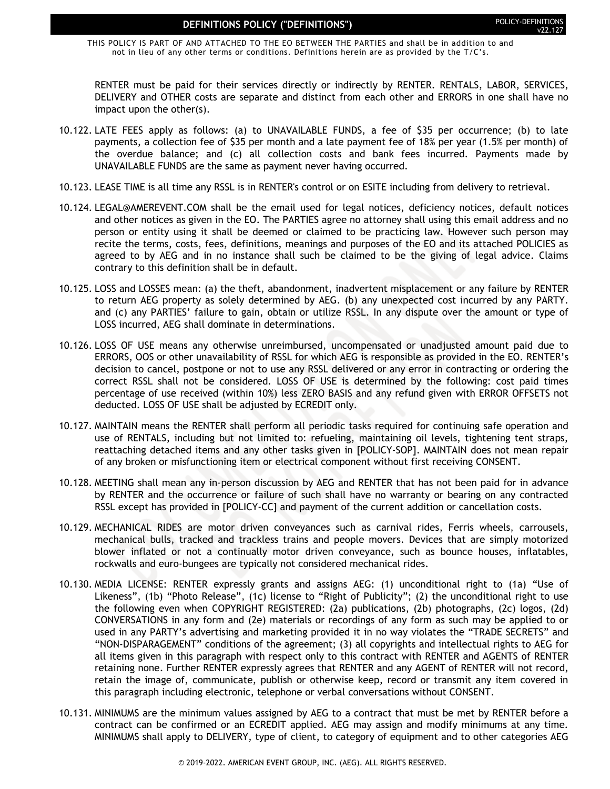THIS POLICY IS PART OF AND ATTACHED TO THE EO BETWEEN THE PARTIES and shall be in addition to and not in lieu of any other terms or conditions. Definitions herein are as provided by the T/C's.

RENTER must be paid for their services directly or indirectly by RENTER. RENTALS, LABOR, SERVICES, DELIVERY and OTHER costs are separate and distinct from each other and ERRORS in one shall have no impact upon the other(s).

- 10.122. LATE FEES apply as follows: (a) to UNAVAILABLE FUNDS, a fee of \$35 per occurrence; (b) to late payments, a collection fee of \$35 per month and a late payment fee of 18% per year (1.5% per month) of the overdue balance; and (c) all collection costs and bank fees incurred. Payments made by UNAVAILABLE FUNDS are the same as payment never having occurred.
- 10.123. LEASE TIME is all time any RSSL is in RENTER's control or on ESITE including from delivery to retrieval.
- 10.124. LEGAL@AMEREVENT.COM shall be the email used for legal notices, deficiency notices, default notices and other notices as given in the EO. The PARTIES agree no attorney shall using this email address and no person or entity using it shall be deemed or claimed to be practicing law. However such person may recite the terms, costs, fees, definitions, meanings and purposes of the EO and its attached POLICIES as agreed to by AEG and in no instance shall such be claimed to be the giving of legal advice. Claims contrary to this definition shall be in default.
- 10.125. LOSS and LOSSES mean: (a) the theft, abandonment, inadvertent misplacement or any failure by RENTER to return AEG property as solely determined by AEG. (b) any unexpected cost incurred by any PARTY. and (c) any PARTIES' failure to gain, obtain or utilize RSSL. In any dispute over the amount or type of LOSS incurred, AEG shall dominate in determinations.
- 10.126. LOSS OF USE means any otherwise unreimbursed, uncompensated or unadjusted amount paid due to ERRORS, OOS or other unavailability of RSSL for which AEG is responsible as provided in the EO. RENTER's decision to cancel, postpone or not to use any RSSL delivered or any error in contracting or ordering the correct RSSL shall not be considered. LOSS OF USE is determined by the following: cost paid times percentage of use received (within 10%) less ZERO BASIS and any refund given with ERROR OFFSETS not deducted. LOSS OF USE shall be adjusted by ECREDIT only.
- 10.127. MAINTAIN means the RENTER shall perform all periodic tasks required for continuing safe operation and use of RENTALS, including but not limited to: refueling, maintaining oil levels, tightening tent straps, reattaching detached items and any other tasks given in [POLICY-SOP]. MAINTAIN does not mean repair of any broken or misfunctioning item or electrical component without first receiving CONSENT.
- 10.128. MEETING shall mean any in-person discussion by AEG and RENTER that has not been paid for in advance by RENTER and the occurrence or failure of such shall have no warranty or bearing on any contracted RSSL except has provided in [POLICY-CC] and payment of the current addition or cancellation costs.
- 10.129. MECHANICAL RIDES are motor driven conveyances such as carnival rides, Ferris wheels, carrousels, mechanical bulls, tracked and trackless trains and people movers. Devices that are simply motorized blower inflated or not a continually motor driven conveyance, such as bounce houses, inflatables, rockwalls and euro-bungees are typically not considered mechanical rides.
- 10.130. MEDIA LICENSE: RENTER expressly grants and assigns AEG: (1) unconditional right to (1a) "Use of Likeness", (1b) "Photo Release", (1c) license to "Right of Publicity"; (2) the unconditional right to use the following even when COPYRIGHT REGISTERED: (2a) publications, (2b) photographs, (2c) logos, (2d) CONVERSATIONS in any form and (2e) materials or recordings of any form as such may be applied to or used in any PARTY's advertising and marketing provided it in no way violates the "TRADE SECRETS" and "NON-DISPARAGEMENT" conditions of the agreement; (3) all copyrights and intellectual rights to AEG for all items given in this paragraph with respect only to this contract with RENTER and AGENTS of RENTER retaining none. Further RENTER expressly agrees that RENTER and any AGENT of RENTER will not record, retain the image of, communicate, publish or otherwise keep, record or transmit any item covered in this paragraph including electronic, telephone or verbal conversations without CONSENT.
- 10.131. MINIMUMS are the minimum values assigned by AEG to a contract that must be met by RENTER before a contract can be confirmed or an ECREDIT applied. AEG may assign and modify minimums at any time. MINIMUMS shall apply to DELIVERY, type of client, to category of equipment and to other categories AEG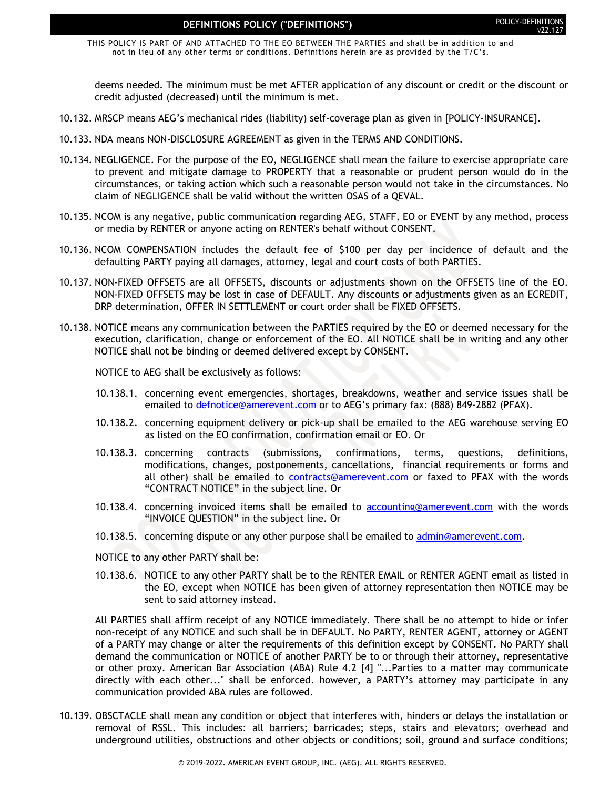THIS POLICY IS PART OF AND ATTACHED TO THE EO BETWEEN THE PARTIES and shall be in addition to and not in lieu of any other terms or conditions. Definitions herein are as provided by the T/C's.

deems needed. The minimum must be met AFTER application of any discount or credit or the discount or credit adjusted (decreased) until the minimum is met.

- 10.132. MRSCP means AEG's mechanical rides (liability) self-coverage plan as given in [POLICY-INSURANCE].
- 10.133. NDA means NON-DISCLOSURE AGREEMENT as given in the TERMS AND CONDITIONS.
- 10.134. NEGLIGENCE. For the purpose of the EO, NEGLIGENCE shall mean the failure to exercise appropriate care to prevent and mitigate damage to PROPERTY that a reasonable or prudent person would do in the circumstances, or taking action which such a reasonable person would not take in the circumstances. No claim of NEGLIGENCE shall be valid without the written OSAS of a QEVAL.
- 10.135. NCOM is any negative, public communication regarding AEG, STAFF, EO or EVENT by any method, process or media by RENTER or anyone acting on RENTER's behalf without CONSENT.
- 10.136. NCOM COMPENSATION includes the default fee of \$100 per day per incidence of default and the defaulting PARTY paying all damages, attorney, legal and court costs of both PARTIES.
- 10.137. NON-FIXED OFFSETS are all OFFSETS, discounts or adjustments shown on the OFFSETS line of the EO. NON-FIXED OFFSETS may be lost in case of DEFAULT. Any discounts or adjustments given as an ECREDIT, DRP determination, OFFER IN SETTLEMENT or court order shall be FIXED OFFSETS.
- 10.138. NOTICE means any communication between the PARTIES required by the EO or deemed necessary for the execution, clarification, change or enforcement of the EO. All NOTICE shall be in writing and any other NOTICE shall not be binding or deemed delivered except by CONSENT.

NOTICE to AEG shall be exclusively as follows:

- 10.138.1. concerning event emergencies, shortages, breakdowns, weather and service issues shall be emailed to [defnotice@amerevent.com](mailto:defnotice@amerevent.com) or to AEG's primary fax: (888) 849-2882 (PFAX).
- 10.138.2. concerning equipment delivery or pick-up shall be emailed to the AEG warehouse serving EO as listed on the EO confirmation, confirmation email or EO. Or
- 10.138.3. concerning contracts (submissions, confirmations, terms, questions, definitions, modifications, changes, postponements, cancellations, financial requirements or forms and all other) shall be emailed to [contracts@amerevent.com](mailto:contracts@amerevent.com) or faxed to PFAX with the words "CONTRACT NOTICE" in the subject line. Or
- 10.138.4. concerning invoiced items shall be emailed to [accounting@amerevent.com](mailto:accounting@amerevent.com) with the words "INVOICE QUESTION" in the subject line. Or
- 10.138.5. concerning dispute or any other purpose shall be emailed to [admin@amerevent.com.](mailto:admin@amerevent.com)
- NOTICE to any other PARTY shall be:
- 10.138.6. NOTICE to any other PARTY shall be to the RENTER EMAIL or RENTER AGENT email as listed in the EO, except when NOTICE has been given of attorney representation then NOTICE may be sent to said attorney instead.

All PARTIES shall affirm receipt of any NOTICE immediately. There shall be no attempt to hide or infer non-receipt of any NOTICE and such shall be in DEFAULT. No PARTY, RENTER AGENT, attorney or AGENT of a PARTY may change or alter the requirements of this definition except by CONSENT. No PARTY shall demand the communication or NOTICE of another PARTY be to or through their attorney, representative or other proxy. American Bar Association (ABA) Rule 4.2 [4] "...Parties to a matter may communicate directly with each other..." shall be enforced. however, a PARTY's attorney may participate in any communication provided ABA rules are followed.

10.139. OBSCTACLE shall mean any condition or object that interferes with, hinders or delays the installation or removal of RSSL. This includes: all barriers; barricades; steps, stairs and elevators; overhead and underground utilities, obstructions and other objects or conditions; soil, ground and surface conditions;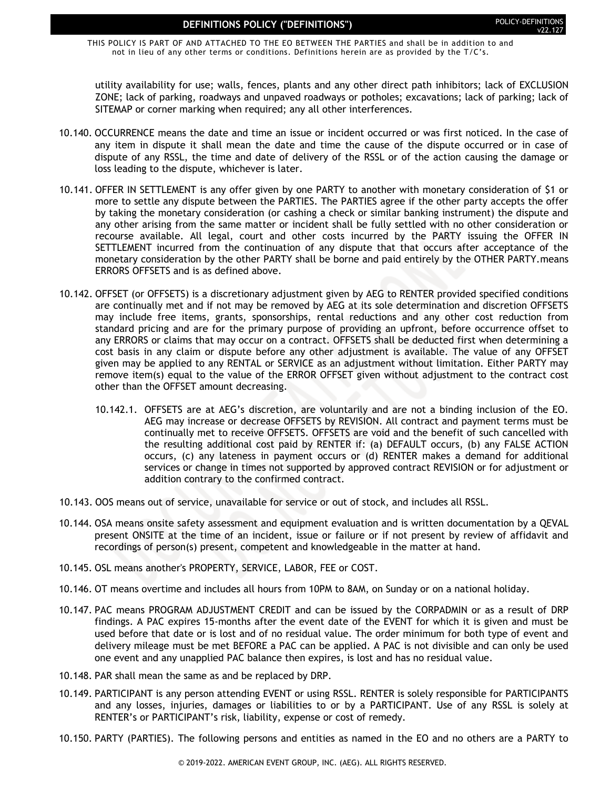THIS POLICY IS PART OF AND ATTACHED TO THE EO BETWEEN THE PARTIES and shall be in addition to and not in lieu of any other terms or conditions. Definitions herein are as provided by the T/C's.

utility availability for use; walls, fences, plants and any other direct path inhibitors; lack of EXCLUSION ZONE; lack of parking, roadways and unpaved roadways or potholes; excavations; lack of parking; lack of SITEMAP or corner marking when required; any all other interferences.

- 10.140. OCCURRENCE means the date and time an issue or incident occurred or was first noticed. In the case of any item in dispute it shall mean the date and time the cause of the dispute occurred or in case of dispute of any RSSL, the time and date of delivery of the RSSL or of the action causing the damage or loss leading to the dispute, whichever is later.
- 10.141. OFFER IN SETTLEMENT is any offer given by one PARTY to another with monetary consideration of \$1 or more to settle any dispute between the PARTIES. The PARTIES agree if the other party accepts the offer by taking the monetary consideration (or cashing a check or similar banking instrument) the dispute and any other arising from the same matter or incident shall be fully settled with no other consideration or recourse available. All legal, court and other costs incurred by the PARTY issuing the OFFER IN SETTLEMENT incurred from the continuation of any dispute that that occurs after acceptance of the monetary consideration by the other PARTY shall be borne and paid entirely by the OTHER PARTY.means ERRORS OFFSETS and is as defined above.
- 10.142. OFFSET (or OFFSETS) is a discretionary adjustment given by AEG to RENTER provided specified conditions are continually met and if not may be removed by AEG at its sole determination and discretion OFFSETS may include free items, grants, sponsorships, rental reductions and any other cost reduction from standard pricing and are for the primary purpose of providing an upfront, before occurrence offset to any ERRORS or claims that may occur on a contract. OFFSETS shall be deducted first when determining a cost basis in any claim or dispute before any other adjustment is available. The value of any OFFSET given may be applied to any RENTAL or SERVICE as an adjustment without limitation. Either PARTY may remove item(s) equal to the value of the ERROR OFFSET given without adjustment to the contract cost other than the OFFSET amount decreasing.
	- 10.142.1. OFFSETS are at AEG's discretion, are voluntarily and are not a binding inclusion of the EO. AEG may increase or decrease OFFSETS by REVISION. All contract and payment terms must be continually met to receive OFFSETS. OFFSETS are void and the benefit of such cancelled with the resulting additional cost paid by RENTER if: (a) DEFAULT occurs, (b) any FALSE ACTION occurs, (c) any lateness in payment occurs or (d) RENTER makes a demand for additional services or change in times not supported by approved contract REVISION or for adjustment or addition contrary to the confirmed contract.
- 10.143. OOS means out of service, unavailable for service or out of stock, and includes all RSSL.
- 10.144. OSA means onsite safety assessment and equipment evaluation and is written documentation by a QEVAL present ONSITE at the time of an incident, issue or failure or if not present by review of affidavit and recordings of person(s) present, competent and knowledgeable in the matter at hand.
- 10.145. OSL means another's PROPERTY, SERVICE, LABOR, FEE or COST.
- 10.146. OT means overtime and includes all hours from 10PM to 8AM, on Sunday or on a national holiday.
- 10.147. PAC means PROGRAM ADJUSTMENT CREDIT and can be issued by the CORPADMIN or as a result of DRP findings. A PAC expires 15-months after the event date of the EVENT for which it is given and must be used before that date or is lost and of no residual value. The order minimum for both type of event and delivery mileage must be met BEFORE a PAC can be applied. A PAC is not divisible and can only be used one event and any unapplied PAC balance then expires, is lost and has no residual value.
- 10.148. PAR shall mean the same as and be replaced by DRP.
- 10.149. PARTICIPANT is any person attending EVENT or using RSSL. RENTER is solely responsible for PARTICIPANTS and any losses, injuries, damages or liabilities to or by a PARTICIPANT. Use of any RSSL is solely at RENTER's or PARTICIPANT's risk, liability, expense or cost of remedy.
- 10.150. PARTY (PARTIES). The following persons and entities as named in the EO and no others are a PARTY to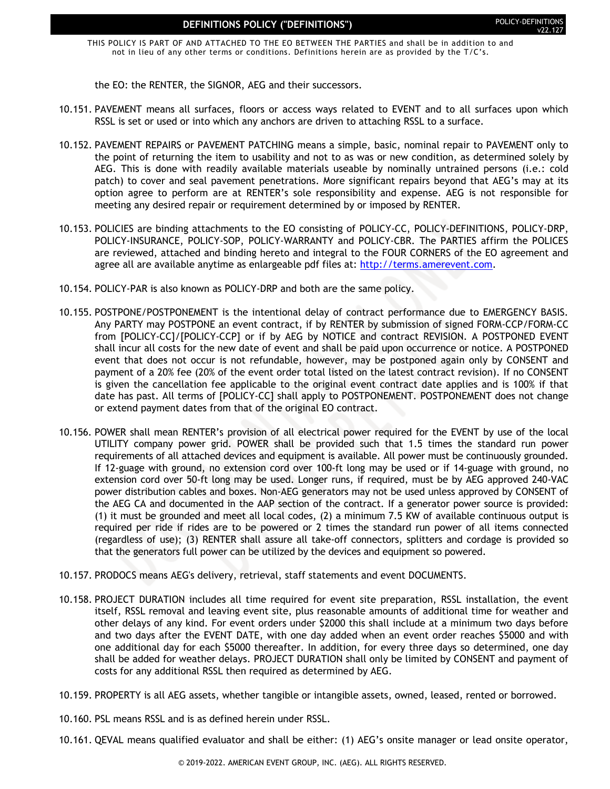THIS POLICY IS PART OF AND ATTACHED TO THE EO BETWEEN THE PARTIES and shall be in addition to and not in lieu of any other terms or conditions. Definitions herein are as provided by the T/C's.

the EO: the RENTER, the SIGNOR, AEG and their successors.

- 10.151. PAVEMENT means all surfaces, floors or access ways related to EVENT and to all surfaces upon which RSSL is set or used or into which any anchors are driven to attaching RSSL to a surface.
- 10.152. PAVEMENT REPAIRS or PAVEMENT PATCHING means a simple, basic, nominal repair to PAVEMENT only to the point of returning the item to usability and not to as was or new condition, as determined solely by AEG. This is done with readily available materials useable by nominally untrained persons (i.e.: cold patch) to cover and seal pavement penetrations. More significant repairs beyond that AEG's may at its option agree to perform are at RENTER's sole responsibility and expense. AEG is not responsible for meeting any desired repair or requirement determined by or imposed by RENTER.
- 10.153. POLICIES are binding attachments to the EO consisting of POLICY-CC, POLICY-DEFINITIONS, POLICY-DRP, POLICY-INSURANCE, POLICY-SOP, POLICY-WARRANTY and POLICY-CBR. The PARTIES affirm the POLICES are reviewed, attached and binding hereto and integral to the FOUR CORNERS of the EO agreement and agree all are available anytime as enlargeable pdf files at: [http://terms.amerevent.com.](http://terms.amerevent.com/)
- 10.154. POLICY-PAR is also known as POLICY-DRP and both are the same policy.
- 10.155. POSTPONE/POSTPONEMENT is the intentional delay of contract performance due to EMERGENCY BASIS. Any PARTY may POSTPONE an event contract, if by RENTER by submission of signed FORM-CCP/FORM-CC from [POLICY-CC]/[POLICY-CCP] or if by AEG by NOTICE and contract REVISION. A POSTPONED EVENT shall incur all costs for the new date of event and shall be paid upon occurrence or notice. A POSTPONED event that does not occur is not refundable, however, may be postponed again only by CONSENT and payment of a 20% fee (20% of the event order total listed on the latest contract revision). If no CONSENT is given the cancellation fee applicable to the original event contract date applies and is 100% if that date has past. All terms of [POLICY-CC] shall apply to POSTPONEMENT. POSTPONEMENT does not change or extend payment dates from that of the original EO contract.
- 10.156. POWER shall mean RENTER's provision of all electrical power required for the EVENT by use of the local UTILITY company power grid. POWER shall be provided such that 1.5 times the standard run power requirements of all attached devices and equipment is available. All power must be continuously grounded. If 12-guage with ground, no extension cord over 100-ft long may be used or if 14-guage with ground, no extension cord over 50-ft long may be used. Longer runs, if required, must be by AEG approved 240-VAC power distribution cables and boxes. Non-AEG generators may not be used unless approved by CONSENT of the AEG CA and documented in the AAP section of the contract. If a generator power source is provided: (1) it must be grounded and meet all local codes, (2) a minimum 7.5 KW of available continuous output is required per ride if rides are to be powered or 2 times the standard run power of all items connected (regardless of use); (3) RENTER shall assure all take-off connectors, splitters and cordage is provided so that the generators full power can be utilized by the devices and equipment so powered.
- 10.157. PRODOCS means AEG's delivery, retrieval, staff statements and event DOCUMENTS.
- 10.158. PROJECT DURATION includes all time required for event site preparation, RSSL installation, the event itself, RSSL removal and leaving event site, plus reasonable amounts of additional time for weather and other delays of any kind. For event orders under \$2000 this shall include at a minimum two days before and two days after the EVENT DATE, with one day added when an event order reaches \$5000 and with one additional day for each \$5000 thereafter. In addition, for every three days so determined, one day shall be added for weather delays. PROJECT DURATION shall only be limited by CONSENT and payment of costs for any additional RSSL then required as determined by AEG.
- 10.159. PROPERTY is all AEG assets, whether tangible or intangible assets, owned, leased, rented or borrowed.
- 10.160. PSL means RSSL and is as defined herein under RSSL.
- 10.161. QEVAL means qualified evaluator and shall be either: (1) AEG's onsite manager or lead onsite operator,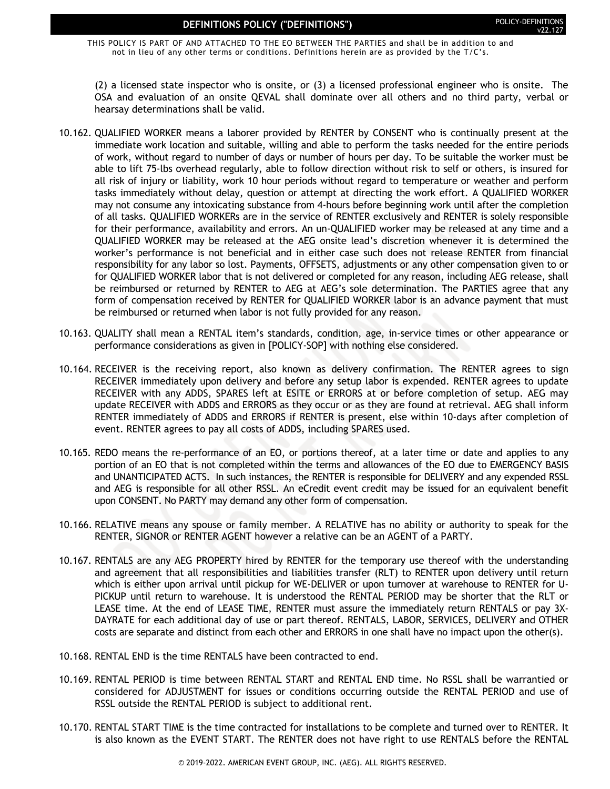THIS POLICY IS PART OF AND ATTACHED TO THE EO BETWEEN THE PARTIES and shall be in addition to and not in lieu of any other terms or conditions. Definitions herein are as provided by the T/C's.

(2) a licensed state inspector who is onsite, or (3) a licensed professional engineer who is onsite. The OSA and evaluation of an onsite QEVAL shall dominate over all others and no third party, verbal or hearsay determinations shall be valid.

- 10.162. QUALIFIED WORKER means a laborer provided by RENTER by CONSENT who is continually present at the immediate work location and suitable, willing and able to perform the tasks needed for the entire periods of work, without regard to number of days or number of hours per day. To be suitable the worker must be able to lift 75-lbs overhead regularly, able to follow direction without risk to self or others, is insured for all risk of injury or liability, work 10 hour periods without regard to temperature or weather and perform tasks immediately without delay, question or attempt at directing the work effort. A QUALIFIED WORKER may not consume any intoxicating substance from 4-hours before beginning work until after the completion of all tasks. QUALIFIED WORKERs are in the service of RENTER exclusively and RENTER is solely responsible for their performance, availability and errors. An un-QUALIFIED worker may be released at any time and a QUALIFIED WORKER may be released at the AEG onsite lead's discretion whenever it is determined the worker's performance is not beneficial and in either case such does not release RENTER from financial responsibility for any labor so lost. Payments, OFFSETS, adjustments or any other compensation given to or for QUALIFIED WORKER labor that is not delivered or completed for any reason, including AEG release, shall be reimbursed or returned by RENTER to AEG at AEG's sole determination. The PARTIES agree that any form of compensation received by RENTER for QUALIFIED WORKER labor is an advance payment that must be reimbursed or returned when labor is not fully provided for any reason.
- 10.163. QUALITY shall mean a RENTAL item's standards, condition, age, in-service times or other appearance or performance considerations as given in [POLICY-SOP] with nothing else considered.
- 10.164. RECEIVER is the receiving report, also known as delivery confirmation. The RENTER agrees to sign RECEIVER immediately upon delivery and before any setup labor is expended. RENTER agrees to update RECEIVER with any ADDS, SPARES left at ESITE or ERRORS at or before completion of setup. AEG may update RECEIVER with ADDS and ERRORS as they occur or as they are found at retrieval. AEG shall inform RENTER immediately of ADDS and ERRORS if RENTER is present, else within 10-days after completion of event. RENTER agrees to pay all costs of ADDS, including SPARES used.
- 10.165. REDO means the re-performance of an EO, or portions thereof, at a later time or date and applies to any portion of an EO that is not completed within the terms and allowances of the EO due to EMERGENCY BASIS and UNANTICIPATED ACTS. In such instances, the RENTER is responsible for DELIVERY and any expended RSSL and AEG is responsible for all other RSSL. An eCredit event credit may be issued for an equivalent benefit upon CONSENT. No PARTY may demand any other form of compensation.
- 10.166. RELATIVE means any spouse or family member. A RELATIVE has no ability or authority to speak for the RENTER, SIGNOR or RENTER AGENT however a relative can be an AGENT of a PARTY.
- 10.167. RENTALS are any AEG PROPERTY hired by RENTER for the temporary use thereof with the understanding and agreement that all responsibilities and liabilities transfer (RLT) to RENTER upon delivery until return which is either upon arrival until pickup for WE-DELIVER or upon turnover at warehouse to RENTER for U-PICKUP until return to warehouse. It is understood the RENTAL PERIOD may be shorter that the RLT or LEASE time. At the end of LEASE TIME, RENTER must assure the immediately return RENTALS or pay 3X-DAYRATE for each additional day of use or part thereof. RENTALS, LABOR, SERVICES, DELIVERY and OTHER costs are separate and distinct from each other and ERRORS in one shall have no impact upon the other(s).
- 10.168. RENTAL END is the time RENTALS have been contracted to end.
- 10.169. RENTAL PERIOD is time between RENTAL START and RENTAL END time. No RSSL shall be warrantied or considered for ADJUSTMENT for issues or conditions occurring outside the RENTAL PERIOD and use of RSSL outside the RENTAL PERIOD is subject to additional rent.
- 10.170. RENTAL START TIME is the time contracted for installations to be complete and turned over to RENTER. It is also known as the EVENT START. The RENTER does not have right to use RENTALS before the RENTAL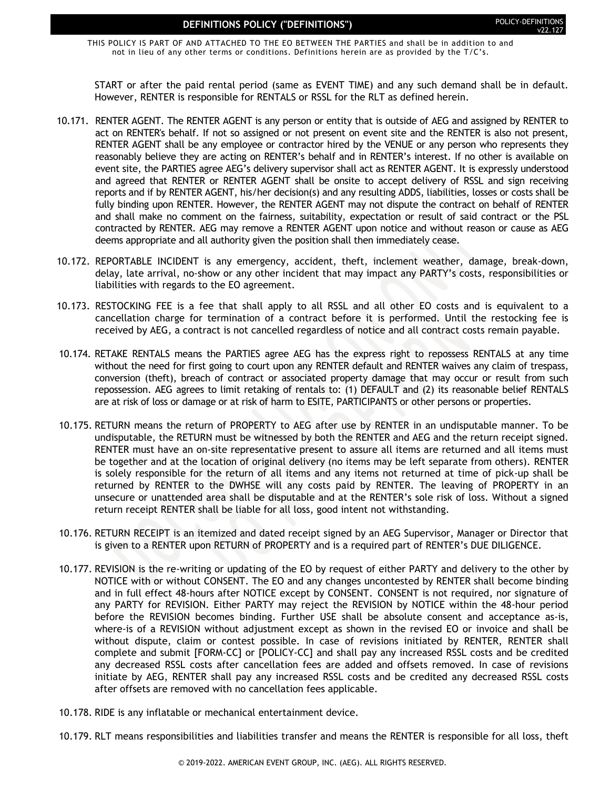THIS POLICY IS PART OF AND ATTACHED TO THE EO BETWEEN THE PARTIES and shall be in addition to and not in lieu of any other terms or conditions. Definitions herein are as provided by the T/C's.

START or after the paid rental period (same as EVENT TIME) and any such demand shall be in default. However, RENTER is responsible for RENTALS or RSSL for the RLT as defined herein.

- 10.171. RENTER AGENT. The RENTER AGENT is any person or entity that is outside of AEG and assigned by RENTER to act on RENTER's behalf. If not so assigned or not present on event site and the RENTER is also not present, RENTER AGENT shall be any employee or contractor hired by the VENUE or any person who represents they reasonably believe they are acting on RENTER's behalf and in RENTER's interest. If no other is available on event site, the PARTIES agree AEG's delivery supervisor shall act as RENTER AGENT. It is expressly understood and agreed that RENTER or RENTER AGENT shall be onsite to accept delivery of RSSL and sign receiving reports and if by RENTER AGENT, his/her decision(s) and any resulting ADDS, liabilities, losses or costs shall be fully binding upon RENTER. However, the RENTER AGENT may not dispute the contract on behalf of RENTER and shall make no comment on the fairness, suitability, expectation or result of said contract or the PSL contracted by RENTER. AEG may remove a RENTER AGENT upon notice and without reason or cause as AEG deems appropriate and all authority given the position shall then immediately cease.
- 10.172. REPORTABLE INCIDENT is any emergency, accident, theft, inclement weather, damage, break-down, delay, late arrival, no-show or any other incident that may impact any PARTY's costs, responsibilities or liabilities with regards to the EO agreement.
- 10.173. RESTOCKING FEE is a fee that shall apply to all RSSL and all other EO costs and is equivalent to a cancellation charge for termination of a contract before it is performed. Until the restocking fee is received by AEG, a contract is not cancelled regardless of notice and all contract costs remain payable.
- 10.174. RETAKE RENTALS means the PARTIES agree AEG has the express right to repossess RENTALS at any time without the need for first going to court upon any RENTER default and RENTER waives any claim of trespass, conversion (theft), breach of contract or associated property damage that may occur or result from such repossession. AEG agrees to limit retaking of rentals to: (1) DEFAULT and (2) its reasonable belief RENTALS are at risk of loss or damage or at risk of harm to ESITE, PARTICIPANTS or other persons or properties.
- 10.175. RETURN means the return of PROPERTY to AEG after use by RENTER in an undisputable manner. To be undisputable, the RETURN must be witnessed by both the RENTER and AEG and the return receipt signed. RENTER must have an on-site representative present to assure all items are returned and all items must be together and at the location of original delivery (no items may be left separate from others). RENTER is solely responsible for the return of all items and any items not returned at time of pick-up shall be returned by RENTER to the DWHSE will any costs paid by RENTER. The leaving of PROPERTY in an unsecure or unattended area shall be disputable and at the RENTER's sole risk of loss. Without a signed return receipt RENTER shall be liable for all loss, good intent not withstanding.
- 10.176. RETURN RECEIPT is an itemized and dated receipt signed by an AEG Supervisor, Manager or Director that is given to a RENTER upon RETURN of PROPERTY and is a required part of RENTER's DUE DILIGENCE.
- 10.177. REVISION is the re-writing or updating of the EO by request of either PARTY and delivery to the other by NOTICE with or without CONSENT. The EO and any changes uncontested by RENTER shall become binding and in full effect 48-hours after NOTICE except by CONSENT. CONSENT is not required, nor signature of any PARTY for REVISION. Either PARTY may reject the REVISION by NOTICE within the 48-hour period before the REVISION becomes binding. Further USE shall be absolute consent and acceptance as-is, where-is of a REVISION without adjustment except as shown in the revised EO or invoice and shall be without dispute, claim or contest possible. In case of revisions initiated by RENTER, RENTER shall complete and submit [FORM-CC] or [POLICY-CC] and shall pay any increased RSSL costs and be credited any decreased RSSL costs after cancellation fees are added and offsets removed. In case of revisions initiate by AEG, RENTER shall pay any increased RSSL costs and be credited any decreased RSSL costs after offsets are removed with no cancellation fees applicable.
- 10.178. RIDE is any inflatable or mechanical entertainment device.
- 10.179. RLT means responsibilities and liabilities transfer and means the RENTER is responsible for all loss, theft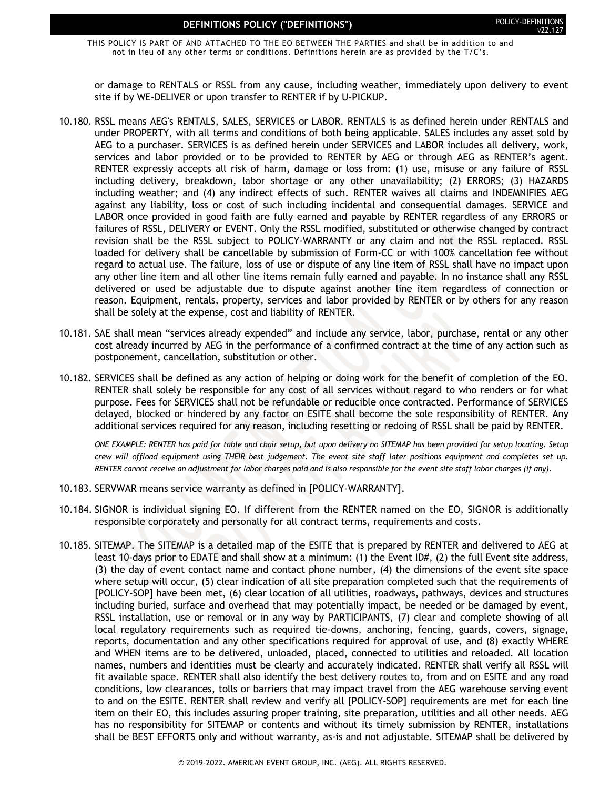THIS POLICY IS PART OF AND ATTACHED TO THE EO BETWEEN THE PARTIES and shall be in addition to and not in lieu of any other terms or conditions. Definitions herein are as provided by the T/C's.

or damage to RENTALS or RSSL from any cause, including weather, immediately upon delivery to event site if by WE-DELIVER or upon transfer to RENTER if by U-PICKUP.

- 10.180. RSSL means AEG's RENTALS, SALES, SERVICES or LABOR. RENTALS is as defined herein under RENTALS and under PROPERTY, with all terms and conditions of both being applicable. SALES includes any asset sold by AEG to a purchaser. SERVICES is as defined herein under SERVICES and LABOR includes all delivery, work, services and labor provided or to be provided to RENTER by AEG or through AEG as RENTER's agent. RENTER expressly accepts all risk of harm, damage or loss from: (1) use, misuse or any failure of RSSL including delivery, breakdown, labor shortage or any other unavailability; (2) ERRORS; (3) HAZARDS including weather; and (4) any indirect effects of such. RENTER waives all claims and INDEMNIFIES AEG against any liability, loss or cost of such including incidental and consequential damages. SERVICE and LABOR once provided in good faith are fully earned and payable by RENTER regardless of any ERRORS or failures of RSSL, DELIVERY or EVENT. Only the RSSL modified, substituted or otherwise changed by contract revision shall be the RSSL subject to POLICY-WARRANTY or any claim and not the RSSL replaced. RSSL loaded for delivery shall be cancellable by submission of Form-CC or with 100% cancellation fee without regard to actual use. The failure, loss of use or dispute of any line item of RSSL shall have no impact upon any other line item and all other line items remain fully earned and payable. In no instance shall any RSSL delivered or used be adjustable due to dispute against another line item regardless of connection or reason. Equipment, rentals, property, services and labor provided by RENTER or by others for any reason shall be solely at the expense, cost and liability of RENTER.
- 10.181. SAE shall mean "services already expended" and include any service, labor, purchase, rental or any other cost already incurred by AEG in the performance of a confirmed contract at the time of any action such as postponement, cancellation, substitution or other.
- 10.182. SERVICES shall be defined as any action of helping or doing work for the benefit of completion of the EO. RENTER shall solely be responsible for any cost of all services without regard to who renders or for what purpose. Fees for SERVICES shall not be refundable or reducible once contracted. Performance of SERVICES delayed, blocked or hindered by any factor on ESITE shall become the sole responsibility of RENTER. Any additional services required for any reason, including resetting or redoing of RSSL shall be paid by RENTER.

*ONE EXAMPLE: RENTER has paid for table and chair setup, but upon delivery no SITEMAP has been provided for setup locating. Setup crew will offload equipment using THEIR best judgement. The event site staff later positions equipment and completes set up. RENTER cannot receive an adjustment for labor charges paid and is also responsible for the event site staff labor charges (if any).*

- 10.183. SERVWAR means service warranty as defined in [POLICY-WARRANTY].
- 10.184. SIGNOR is individual signing EO. If different from the RENTER named on the EO, SIGNOR is additionally responsible corporately and personally for all contract terms, requirements and costs.
- 10.185. SITEMAP. The SITEMAP is a detailed map of the ESITE that is prepared by RENTER and delivered to AEG at least 10-days prior to EDATE and shall show at a minimum: (1) the Event ID#, (2) the full Event site address, (3) the day of event contact name and contact phone number, (4) the dimensions of the event site space where setup will occur, (5) clear indication of all site preparation completed such that the requirements of [POLICY-SOP] have been met, (6) clear location of all utilities, roadways, pathways, devices and structures including buried, surface and overhead that may potentially impact, be needed or be damaged by event, RSSL installation, use or removal or in any way by PARTICIPANTS, (7) clear and complete showing of all local regulatory requirements such as required tie-downs, anchoring, fencing, guards, covers, signage, reports, documentation and any other specifications required for approval of use, and (8) exactly WHERE and WHEN items are to be delivered, unloaded, placed, connected to utilities and reloaded. All location names, numbers and identities must be clearly and accurately indicated. RENTER shall verify all RSSL will fit available space. RENTER shall also identify the best delivery routes to, from and on ESITE and any road conditions, low clearances, tolls or barriers that may impact travel from the AEG warehouse serving event to and on the ESITE. RENTER shall review and verify all [POLICY-SOP] requirements are met for each line item on their EO, this includes assuring proper training, site preparation, utilities and all other needs. AEG has no responsibility for SITEMAP or contents and without its timely submission by RENTER, installations shall be BEST EFFORTS only and without warranty, as-is and not adjustable. SITEMAP shall be delivered by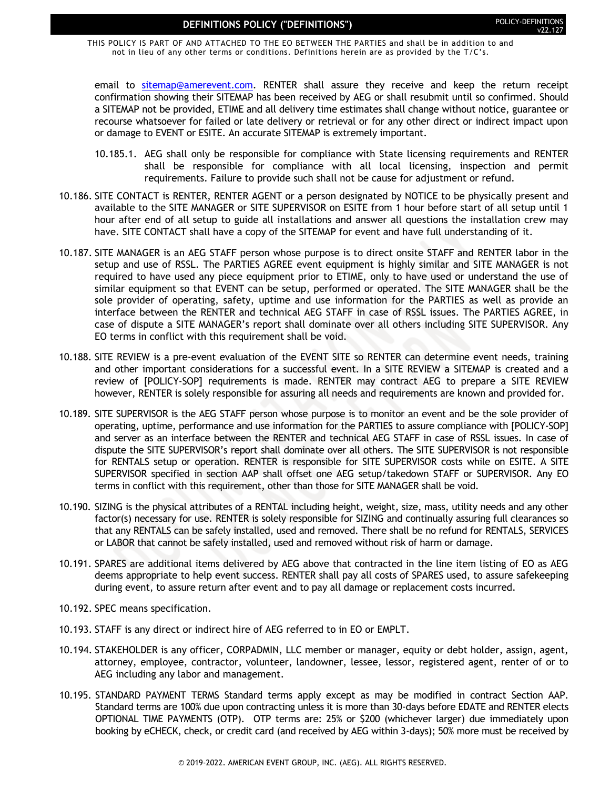THIS POLICY IS PART OF AND ATTACHED TO THE EO BETWEEN THE PARTIES and shall be in addition to and not in lieu of any other terms or conditions. Definitions herein are as provided by the T/C's.

email to [sitemap@amerevent.com.](mailto:sitemap@amerevent.com) RENTER shall assure they receive and keep the return receipt confirmation showing their SITEMAP has been received by AEG or shall resubmit until so confirmed. Should a SITEMAP not be provided, ETIME and all delivery time estimates shall change without notice, guarantee or recourse whatsoever for failed or late delivery or retrieval or for any other direct or indirect impact upon or damage to EVENT or ESITE. An accurate SITEMAP is extremely important.

- 10.185.1. AEG shall only be responsible for compliance with State licensing requirements and RENTER shall be responsible for compliance with all local licensing, inspection and permit requirements. Failure to provide such shall not be cause for adjustment or refund.
- 10.186. SITE CONTACT is RENTER, RENTER AGENT or a person designated by NOTICE to be physically present and available to the SITE MANAGER or SITE SUPERVISOR on ESITE from 1 hour before start of all setup until 1 hour after end of all setup to guide all installations and answer all questions the installation crew may have. SITE CONTACT shall have a copy of the SITEMAP for event and have full understanding of it.
- 10.187. SITE MANAGER is an AEG STAFF person whose purpose is to direct onsite STAFF and RENTER labor in the setup and use of RSSL. The PARTIES AGREE event equipment is highly similar and SITE MANAGER is not required to have used any piece equipment prior to ETIME, only to have used or understand the use of similar equipment so that EVENT can be setup, performed or operated. The SITE MANAGER shall be the sole provider of operating, safety, uptime and use information for the PARTIES as well as provide an interface between the RENTER and technical AEG STAFF in case of RSSL issues. The PARTIES AGREE, in case of dispute a SITE MANAGER's report shall dominate over all others including SITE SUPERVISOR. Any EO terms in conflict with this requirement shall be void.
- 10.188. SITE REVIEW is a pre-event evaluation of the EVENT SITE so RENTER can determine event needs, training and other important considerations for a successful event. In a SITE REVIEW a SITEMAP is created and a review of [POLICY-SOP] requirements is made. RENTER may contract AEG to prepare a SITE REVIEW however, RENTER is solely responsible for assuring all needs and requirements are known and provided for.
- 10.189. SITE SUPERVISOR is the AEG STAFF person whose purpose is to monitor an event and be the sole provider of operating, uptime, performance and use information for the PARTIES to assure compliance with [POLICY-SOP] and server as an interface between the RENTER and technical AEG STAFF in case of RSSL issues. In case of dispute the SITE SUPERVISOR's report shall dominate over all others. The SITE SUPERVISOR is not responsible for RENTALS setup or operation. RENTER is responsible for SITE SUPERVISOR costs while on ESITE. A SITE SUPERVISOR specified in section AAP shall offset one AEG setup/takedown STAFF or SUPERVISOR. Any EO terms in conflict with this requirement, other than those for SITE MANAGER shall be void.
- 10.190. SIZING is the physical attributes of a RENTAL including height, weight, size, mass, utility needs and any other factor(s) necessary for use. RENTER is solely responsible for SIZING and continually assuring full clearances so that any RENTALS can be safely installed, used and removed. There shall be no refund for RENTALS, SERVICES or LABOR that cannot be safely installed, used and removed without risk of harm or damage.
- 10.191. SPARES are additional items delivered by AEG above that contracted in the line item listing of EO as AEG deems appropriate to help event success. RENTER shall pay all costs of SPARES used, to assure safekeeping during event, to assure return after event and to pay all damage or replacement costs incurred.
- 10.192. SPEC means specification.
- 10.193. STAFF is any direct or indirect hire of AEG referred to in EO or EMPLT.
- 10.194. STAKEHOLDER is any officer, CORPADMIN, LLC member or manager, equity or debt holder, assign, agent, attorney, employee, contractor, volunteer, landowner, lessee, lessor, registered agent, renter of or to AEG including any labor and management.
- 10.195. STANDARD PAYMENT TERMS Standard terms apply except as may be modified in contract Section AAP. Standard terms are 100% due upon contracting unless it is more than 30-days before EDATE and RENTER elects OPTIONAL TIME PAYMENTS (OTP). OTP terms are: 25% or \$200 (whichever larger) due immediately upon booking by eCHECK, check, or credit card (and received by AEG within 3-days); 50% more must be received by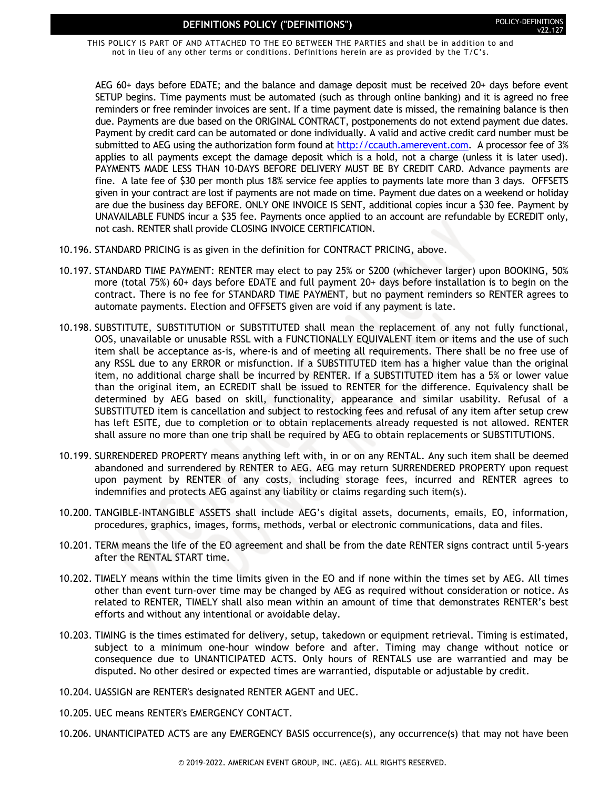THIS POLICY IS PART OF AND ATTACHED TO THE EO BETWEEN THE PARTIES and shall be in addition to and not in lieu of any other terms or conditions. Definitions herein are as provided by the T/C's.

AEG 60+ days before EDATE; and the balance and damage deposit must be received 20+ days before event SETUP begins. Time payments must be automated (such as through online banking) and it is agreed no free reminders or free reminder invoices are sent. If a time payment date is missed, the remaining balance is then due. Payments are due based on the ORIGINAL CONTRACT, postponements do not extend payment due dates. Payment by credit card can be automated or done individually. A valid and active credit card number must be submitted to AEG using the authorization form found at [http://ccauth.amerevent.com.](http://ccauth.amerevent.com/) A processor fee of 3% applies to all payments except the damage deposit which is a hold, not a charge (unless it is later used). PAYMENTS MADE LESS THAN 10-DAYS BEFORE DELIVERY MUST BE BY CREDIT CARD. Advance payments are fine. A late fee of \$30 per month plus 18% service fee applies to payments late more than 3 days. OFFSETS given in your contract are lost if payments are not made on time. Payment due dates on a weekend or holiday are due the business day BEFORE. ONLY ONE INVOICE IS SENT, additional copies incur a \$30 fee. Payment by UNAVAILABLE FUNDS incur a \$35 fee. Payments once applied to an account are refundable by ECREDIT only, not cash. RENTER shall provide CLOSING INVOICE CERTIFICATION.

- 10.196. STANDARD PRICING is as given in the definition for CONTRACT PRICING, above.
- 10.197. STANDARD TIME PAYMENT: RENTER may elect to pay 25% or \$200 (whichever larger) upon BOOKING, 50% more (total 75%) 60+ days before EDATE and full payment 20+ days before installation is to begin on the contract. There is no fee for STANDARD TIME PAYMENT, but no payment reminders so RENTER agrees to automate payments. Election and OFFSETS given are void if any payment is late.
- 10.198. SUBSTITUTE, SUBSTITUTION or SUBSTITUTED shall mean the replacement of any not fully functional, OOS, unavailable or unusable RSSL with a FUNCTIONALLY EQUIVALENT item or items and the use of such item shall be acceptance as-is, where-is and of meeting all requirements. There shall be no free use of any RSSL due to any ERROR or misfunction. If a SUBSTITUTED item has a higher value than the original item, no additional charge shall be incurred by RENTER. If a SUBSTITUTED item has a 5% or lower value than the original item, an ECREDIT shall be issued to RENTER for the difference. Equivalency shall be determined by AEG based on skill, functionality, appearance and similar usability. Refusal of a SUBSTITUTED item is cancellation and subject to restocking fees and refusal of any item after setup crew has left ESITE, due to completion or to obtain replacements already requested is not allowed. RENTER shall assure no more than one trip shall be required by AEG to obtain replacements or SUBSTITUTIONS.
- 10.199. SURRENDERED PROPERTY means anything left with, in or on any RENTAL. Any such item shall be deemed abandoned and surrendered by RENTER to AEG. AEG may return SURRENDERED PROPERTY upon request upon payment by RENTER of any costs, including storage fees, incurred and RENTER agrees to indemnifies and protects AEG against any liability or claims regarding such item(s).
- 10.200. TANGIBLE-INTANGIBLE ASSETS shall include AEG's digital assets, documents, emails, EO, information, procedures, graphics, images, forms, methods, verbal or electronic communications, data and files.
- 10.201. TERM means the life of the EO agreement and shall be from the date RENTER signs contract until 5-years after the RENTAL START time.
- 10.202. TIMELY means within the time limits given in the EO and if none within the times set by AEG. All times other than event turn-over time may be changed by AEG as required without consideration or notice. As related to RENTER, TIMELY shall also mean within an amount of time that demonstrates RENTER's best efforts and without any intentional or avoidable delay.
- 10.203. TIMING is the times estimated for delivery, setup, takedown or equipment retrieval. Timing is estimated, subject to a minimum one-hour window before and after. Timing may change without notice or consequence due to UNANTICIPATED ACTS. Only hours of RENTALS use are warrantied and may be disputed. No other desired or expected times are warrantied, disputable or adjustable by credit.
- 10.204. UASSIGN are RENTER's designated RENTER AGENT and UEC.
- 10.205. UEC means RENTER's EMERGENCY CONTACT.
- 10.206. UNANTICIPATED ACTS are any EMERGENCY BASIS occurrence(s), any occurrence(s) that may not have been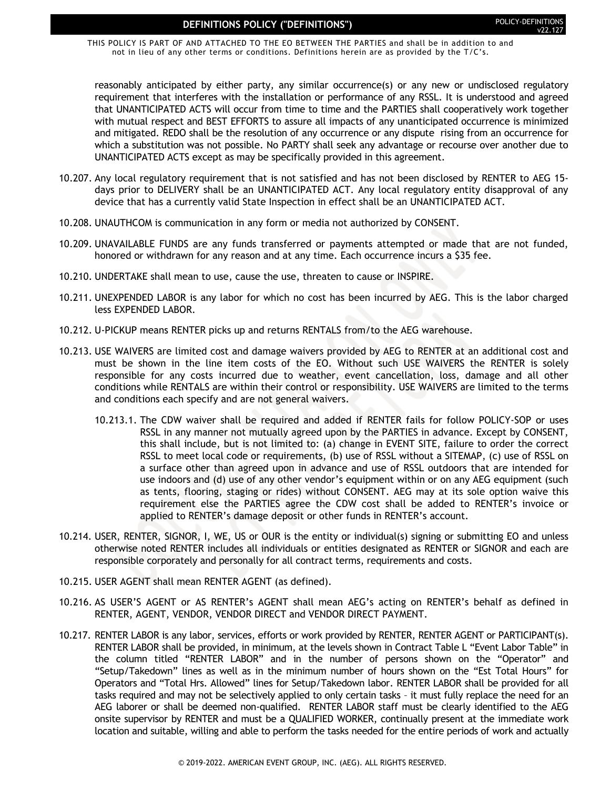THIS POLICY IS PART OF AND ATTACHED TO THE EO BETWEEN THE PARTIES and shall be in addition to and not in lieu of any other terms or conditions. Definitions herein are as provided by the T/C's.

reasonably anticipated by either party, any similar occurrence(s) or any new or undisclosed regulatory requirement that interferes with the installation or performance of any RSSL. It is understood and agreed that UNANTICIPATED ACTS will occur from time to time and the PARTIES shall cooperatively work together with mutual respect and BEST EFFORTS to assure all impacts of any unanticipated occurrence is minimized and mitigated. REDO shall be the resolution of any occurrence or any dispute rising from an occurrence for which a substitution was not possible. No PARTY shall seek any advantage or recourse over another due to UNANTICIPATED ACTS except as may be specifically provided in this agreement.

- 10.207. Any local regulatory requirement that is not satisfied and has not been disclosed by RENTER to AEG 15 days prior to DELIVERY shall be an UNANTICIPATED ACT. Any local regulatory entity disapproval of any device that has a currently valid State Inspection in effect shall be an UNANTICIPATED ACT.
- 10.208. UNAUTHCOM is communication in any form or media not authorized by CONSENT.
- 10.209. UNAVAILABLE FUNDS are any funds transferred or payments attempted or made that are not funded, honored or withdrawn for any reason and at any time. Each occurrence incurs a \$35 fee.
- 10.210. UNDERTAKE shall mean to use, cause the use, threaten to cause or INSPIRE.
- 10.211. UNEXPENDED LABOR is any labor for which no cost has been incurred by AEG. This is the labor charged less EXPENDED LABOR.
- 10.212. U-PICKUP means RENTER picks up and returns RENTALS from/to the AEG warehouse.
- 10.213. USE WAIVERS are limited cost and damage waivers provided by AEG to RENTER at an additional cost and must be shown in the line item costs of the EO. Without such USE WAIVERS the RENTER is solely responsible for any costs incurred due to weather, event cancellation, loss, damage and all other conditions while RENTALS are within their control or responsibility. USE WAIVERS are limited to the terms and conditions each specify and are not general waivers.
	- 10.213.1. The CDW waiver shall be required and added if RENTER fails for follow POLICY-SOP or uses RSSL in any manner not mutually agreed upon by the PARTIES in advance. Except by CONSENT, this shall include, but is not limited to: (a) change in EVENT SITE, failure to order the correct RSSL to meet local code or requirements, (b) use of RSSL without a SITEMAP, (c) use of RSSL on a surface other than agreed upon in advance and use of RSSL outdoors that are intended for use indoors and (d) use of any other vendor's equipment within or on any AEG equipment (such as tents, flooring, staging or rides) without CONSENT. AEG may at its sole option waive this requirement else the PARTIES agree the CDW cost shall be added to RENTER's invoice or applied to RENTER's damage deposit or other funds in RENTER's account.
- 10.214. USER, RENTER, SIGNOR, I, WE, US or OUR is the entity or individual(s) signing or submitting EO and unless otherwise noted RENTER includes all individuals or entities designated as RENTER or SIGNOR and each are responsible corporately and personally for all contract terms, requirements and costs.
- 10.215. USER AGENT shall mean RENTER AGENT (as defined).
- 10.216. AS USER'S AGENT or AS RENTER's AGENT shall mean AEG's acting on RENTER's behalf as defined in RENTER, AGENT, VENDOR, VENDOR DIRECT and VENDOR DIRECT PAYMENT.
- 10.217. RENTER LABOR is any labor, services, efforts or work provided by RENTER, RENTER AGENT or PARTICIPANT(s). RENTER LABOR shall be provided, in minimum, at the levels shown in Contract Table L "Event Labor Table" in the column titled "RENTER LABOR" and in the number of persons shown on the "Operator" and "Setup/Takedown" lines as well as in the minimum number of hours shown on the "Est Total Hours" for Operators and "Total Hrs. Allowed" lines for Setup/Takedown labor. RENTER LABOR shall be provided for all tasks required and may not be selectively applied to only certain tasks – it must fully replace the need for an AEG laborer or shall be deemed non-qualified. RENTER LABOR staff must be clearly identified to the AEG onsite supervisor by RENTER and must be a QUALIFIED WORKER, continually present at the immediate work location and suitable, willing and able to perform the tasks needed for the entire periods of work and actually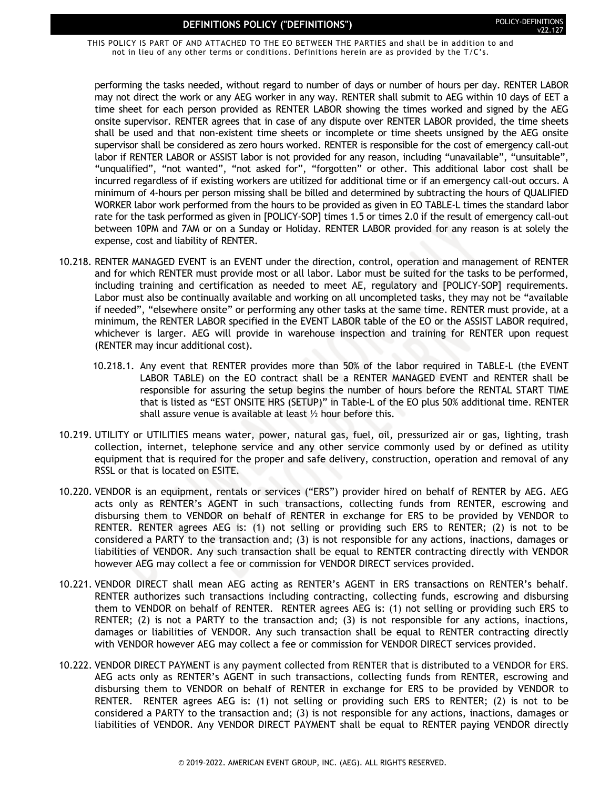THIS POLICY IS PART OF AND ATTACHED TO THE EO BETWEEN THE PARTIES and shall be in addition to and not in lieu of any other terms or conditions. Definitions herein are as provided by the T/C's.

performing the tasks needed, without regard to number of days or number of hours per day. RENTER LABOR may not direct the work or any AEG worker in any way. RENTER shall submit to AEG within 10 days of EET a time sheet for each person provided as RENTER LABOR showing the times worked and signed by the AEG onsite supervisor. RENTER agrees that in case of any dispute over RENTER LABOR provided, the time sheets shall be used and that non-existent time sheets or incomplete or time sheets unsigned by the AEG onsite supervisor shall be considered as zero hours worked. RENTER is responsible for the cost of emergency call-out labor if RENTER LABOR or ASSIST labor is not provided for any reason, including "unavailable", "unsuitable", "unqualified", "not wanted", "not asked for", "forgotten" or other. This additional labor cost shall be incurred regardless of if existing workers are utilized for additional time or if an emergency call-out occurs. A minimum of 4-hours per person missing shall be billed and determined by subtracting the hours of QUALIFIED WORKER labor work performed from the hours to be provided as given in EO TABLE-L times the standard labor rate for the task performed as given in [POLICY-SOP] times 1.5 or times 2.0 if the result of emergency call-out between 10PM and 7AM or on a Sunday or Holiday. RENTER LABOR provided for any reason is at solely the expense, cost and liability of RENTER.

- 10.218. RENTER MANAGED EVENT is an EVENT under the direction, control, operation and management of RENTER and for which RENTER must provide most or all labor. Labor must be suited for the tasks to be performed, including training and certification as needed to meet AE, regulatory and [POLICY-SOP] requirements. Labor must also be continually available and working on all uncompleted tasks, they may not be "available if needed", "elsewhere onsite" or performing any other tasks at the same time. RENTER must provide, at a minimum, the RENTER LABOR specified in the EVENT LABOR table of the EO or the ASSIST LABOR required, whichever is larger. AEG will provide in warehouse inspection and training for RENTER upon request (RENTER may incur additional cost).
	- 10.218.1. Any event that RENTER provides more than 50% of the labor required in TABLE-L (the EVENT LABOR TABLE) on the EO contract shall be a RENTER MANAGED EVENT and RENTER shall be responsible for assuring the setup begins the number of hours before the RENTAL START TIME that is listed as "EST ONSITE HRS (SETUP)" in Table-L of the EO plus 50% additional time. RENTER shall assure venue is available at least ½ hour before this.
- 10.219. UTILITY or UTILITIES means water, power, natural gas, fuel, oil, pressurized air or gas, lighting, trash collection, internet, telephone service and any other service commonly used by or defined as utility equipment that is required for the proper and safe delivery, construction, operation and removal of any RSSL or that is located on ESITE.
- 10.220. VENDOR is an equipment, rentals or services ("ERS") provider hired on behalf of RENTER by AEG. AEG acts only as RENTER's AGENT in such transactions, collecting funds from RENTER, escrowing and disbursing them to VENDOR on behalf of RENTER in exchange for ERS to be provided by VENDOR to RENTER. RENTER agrees AEG is: (1) not selling or providing such ERS to RENTER; (2) is not to be considered a PARTY to the transaction and; (3) is not responsible for any actions, inactions, damages or liabilities of VENDOR. Any such transaction shall be equal to RENTER contracting directly with VENDOR however AEG may collect a fee or commission for VENDOR DIRECT services provided.
- 10.221. VENDOR DIRECT shall mean AEG acting as RENTER's AGENT in ERS transactions on RENTER's behalf. RENTER authorizes such transactions including contracting, collecting funds, escrowing and disbursing them to VENDOR on behalf of RENTER. RENTER agrees AEG is: (1) not selling or providing such ERS to RENTER; (2) is not a PARTY to the transaction and; (3) is not responsible for any actions, inactions, damages or liabilities of VENDOR. Any such transaction shall be equal to RENTER contracting directly with VENDOR however AEG may collect a fee or commission for VENDOR DIRECT services provided.
- 10.222. VENDOR DIRECT PAYMENT is any payment collected from RENTER that is distributed to a VENDOR for ERS. AEG acts only as RENTER's AGENT in such transactions, collecting funds from RENTER, escrowing and disbursing them to VENDOR on behalf of RENTER in exchange for ERS to be provided by VENDOR to RENTER. RENTER agrees AEG is: (1) not selling or providing such ERS to RENTER; (2) is not to be considered a PARTY to the transaction and; (3) is not responsible for any actions, inactions, damages or liabilities of VENDOR. Any VENDOR DIRECT PAYMENT shall be equal to RENTER paying VENDOR directly